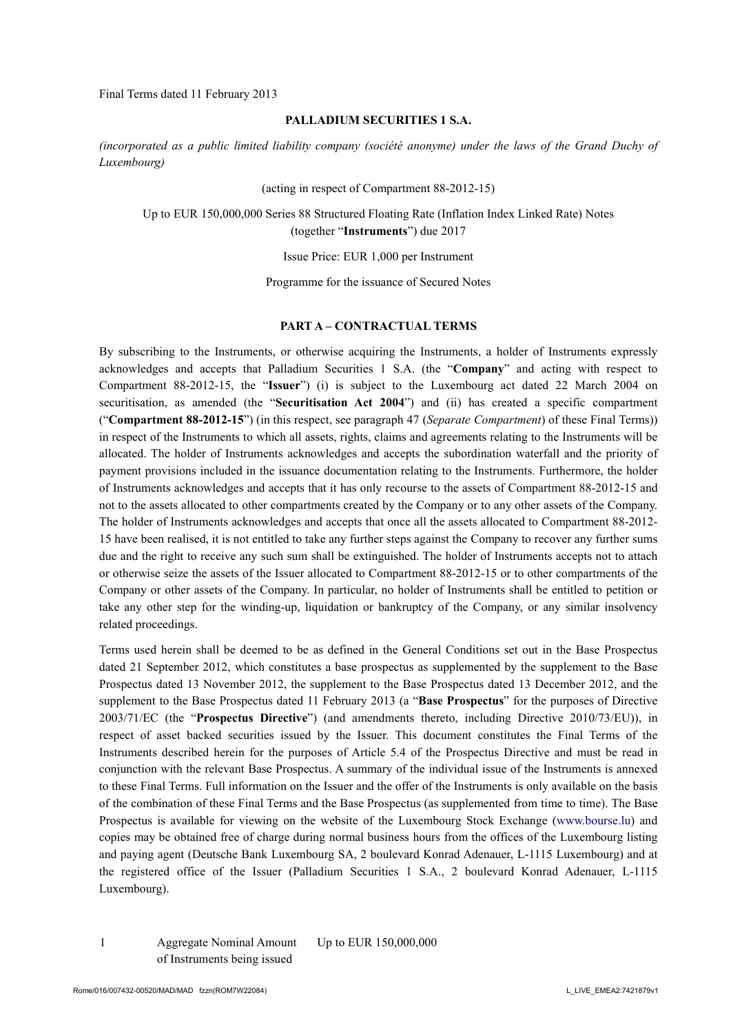Final Terms dated 11 February 2013

#### **PALLADIUM SECURITIES 1 S.A.**

*(incorporated as a public limited liability company (société anonyme) under the laws of the Grand Duchy of Luxembourg)*

#### (acting in respect of Compartment 88-2012-15)

Up to EUR 150,000,000 Series 88 Structured Floating Rate (Inflation Index Linked Rate) Notes (together "**Instruments**") due 2017

Issue Price: EUR 1,000 per Instrument

Programme for the issuance of Secured Notes

#### **PART A – CONTRACTUAL TERMS**

By subscribing to the Instruments, or otherwise acquiring the Instruments, a holder of Instruments expressly acknowledges and accepts that Palladium Securities 1 S.A. (the "**Company**" and acting with respect to Compartment 88-2012-15, the "**Issuer**") (i) is subject to the Luxembourg act dated 22 March 2004 on securitisation, as amended (the "**Securitisation Act 2004**") and (ii) has created a specific compartment ("**Compartment 88-2012-15**") (in this respect, see paragraph 47 (*Separate Compartment*) of these Final Terms)) in respect of the Instruments to which all assets, rights, claims and agreements relating to the Instruments will be allocated. The holder of Instruments acknowledges and accepts the subordination waterfall and the priority of payment provisions included in the issuance documentation relating to the Instruments. Furthermore, the holder of Instruments acknowledges and accepts that it has only recourse to the assets of Compartment 88-2012-15 and not to the assets allocated to other compartments created by the Company or to any other assets of the Company. The holder of Instruments acknowledges and accepts that once all the assets allocated to Compartment 88-2012- 15 have been realised, it is not entitled to take any further steps against the Company to recover any further sums due and the right to receive any such sum shall be extinguished. The holder of Instruments accepts not to attach or otherwise seize the assets of the Issuer allocated to Compartment 88-2012-15 or to other compartments of the Company or other assets of the Company. In particular, no holder of Instruments shall be entitled to petition or take any other step for the winding-up, liquidation or bankruptcy of the Company, or any similar insolvency related proceedings.

Terms used herein shall be deemed to be as defined in the General Conditions set out in the Base Prospectus dated 21 September 2012, which constitutes a base prospectus as supplemented by the supplement to the Base Prospectus dated 13 November 2012, the supplement to the Base Prospectus dated 13 December 2012, and the supplement to the Base Prospectus dated 11 February 2013 (a "**Base Prospectus**" for the purposes of Directive 2003/71/EC (the "**Prospectus Directive**") (and amendments thereto, including Directive 2010/73/EU)), in respect of asset backed securities issued by the Issuer. This document constitutes the Final Terms of the Instruments described herein for the purposes of Article 5.4 of the Prospectus Directive and must be read in conjunction with the relevant Base Prospectus. A summary of the individual issue of the Instruments is annexed to these Final Terms. Full information on the Issuer and the offer of the Instruments is only available on the basis of the combination of these Final Terms and the Base Prospectus (as supplemented from time to time). The Base Prospectus is available for viewing on the website of the Luxembourg Stock Exchange (www.bourse.lu) and copies may be obtained free of charge during normal business hours from the offices of the Luxembourg listing and paying agent (Deutsche Bank Luxembourg SA, 2 boulevard Konrad Adenauer, L-1115 Luxembourg) and at the registered office of the Issuer (Palladium Securities 1 S.A., 2 boulevard Konrad Adenauer, L-1115 Luxembourg).

1 Aggregate Nominal Amount of Instruments being issued Up to EUR 150,000,000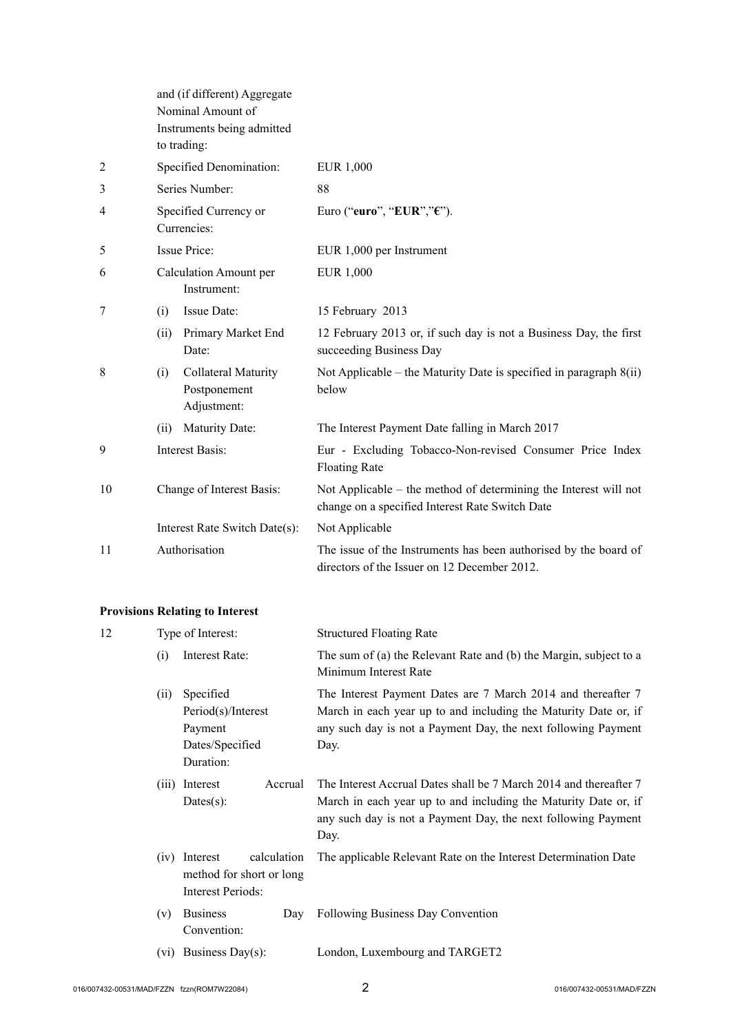|                |                        | and (if different) Aggregate<br>Nominal Amount of<br>Instruments being admitted<br>to trading: |                                                                                                                     |
|----------------|------------------------|------------------------------------------------------------------------------------------------|---------------------------------------------------------------------------------------------------------------------|
| $\overline{2}$ |                        | Specified Denomination:                                                                        | <b>EUR 1,000</b>                                                                                                    |
| 3              |                        | Series Number:                                                                                 | 88                                                                                                                  |
| 4              |                        | Specified Currency or<br>Currencies:                                                           | Euro ("euro", "EUR"," $\varepsilon$ ").                                                                             |
| 5              |                        | Issue Price:                                                                                   | EUR 1,000 per Instrument                                                                                            |
| 6              |                        | Calculation Amount per<br>Instrument:                                                          | <b>EUR 1,000</b>                                                                                                    |
| 7              | (i)                    | Issue Date:                                                                                    | 15 February 2013                                                                                                    |
|                | (ii)                   | Primary Market End<br>Date:                                                                    | 12 February 2013 or, if such day is not a Business Day, the first<br>succeeding Business Day                        |
| 8              | (i)                    | <b>Collateral Maturity</b><br>Postponement<br>Adjustment:                                      | Not Applicable – the Maturity Date is specified in paragraph $8(ii)$<br>below                                       |
|                | (ii)                   | <b>Maturity Date:</b>                                                                          | The Interest Payment Date falling in March 2017                                                                     |
| 9              | <b>Interest Basis:</b> |                                                                                                | Eur - Excluding Tobacco-Non-revised Consumer Price Index<br><b>Floating Rate</b>                                    |
| 10             |                        | Change of Interest Basis:                                                                      | Not Applicable – the method of determining the Interest will not<br>change on a specified Interest Rate Switch Date |
|                |                        | Interest Rate Switch Date(s):                                                                  | Not Applicable                                                                                                      |
| 11             |                        | Authorisation                                                                                  | The issue of the Instruments has been authorised by the board of<br>directors of the Issuer on 12 December 2012.    |

## **Provisions Relating to Interest**

| 12 |      | Type of Interest:                                                             | <b>Structured Floating Rate</b>                                                                                                                                                                               |  |  |  |
|----|------|-------------------------------------------------------------------------------|---------------------------------------------------------------------------------------------------------------------------------------------------------------------------------------------------------------|--|--|--|
|    | (i)  | Interest Rate:                                                                | The sum of (a) the Relevant Rate and (b) the Margin, subject to a<br>Minimum Interest Rate                                                                                                                    |  |  |  |
|    | (ii) | Specified<br>Period(s)/Interest<br>Payment<br>Dates/Specified<br>Duration:    | The Interest Payment Dates are 7 March 2014 and thereafter 7<br>March in each year up to and including the Maturity Date or, if<br>any such day is not a Payment Day, the next following Payment<br>Day.      |  |  |  |
|    |      | Accrual<br>(iii) Interest<br>Dates(s):                                        | The Interest Accrual Dates shall be 7 March 2014 and thereafter 7<br>March in each year up to and including the Maturity Date or, if<br>any such day is not a Payment Day, the next following Payment<br>Day. |  |  |  |
|    |      | calculation<br>(iv) Interest<br>method for short or long<br>Interest Periods: | The applicable Relevant Rate on the Interest Determination Date                                                                                                                                               |  |  |  |
|    | (v)  | <b>Business</b><br>Day<br>Convention:                                         | Following Business Day Convention                                                                                                                                                                             |  |  |  |
|    | (vi) | Business Day(s):                                                              | London, Luxembourg and TARGET2                                                                                                                                                                                |  |  |  |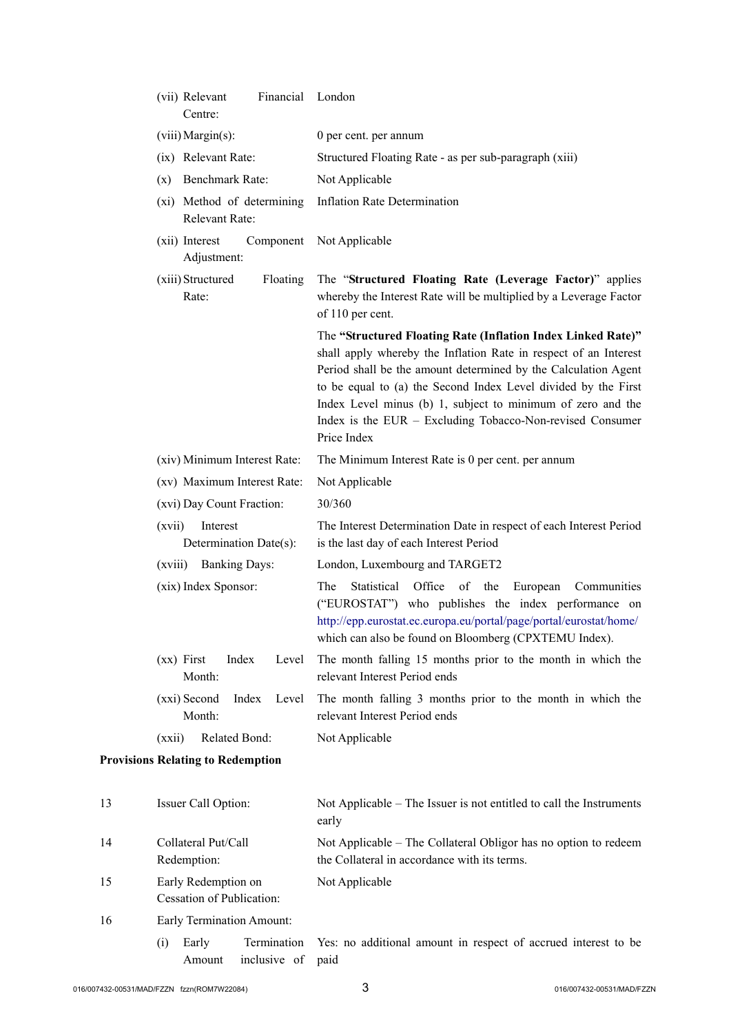|    | (vii) Relevant<br>Financial London<br>Centre:           |                                                                                                                                                                                                                                                                                                                                                                                                                 |  |  |  |
|----|---------------------------------------------------------|-----------------------------------------------------------------------------------------------------------------------------------------------------------------------------------------------------------------------------------------------------------------------------------------------------------------------------------------------------------------------------------------------------------------|--|--|--|
|    | (viii) Margin(s):                                       | 0 per cent. per annum                                                                                                                                                                                                                                                                                                                                                                                           |  |  |  |
|    | (ix) Relevant Rate:                                     | Structured Floating Rate - as per sub-paragraph (xiii)                                                                                                                                                                                                                                                                                                                                                          |  |  |  |
|    | <b>Benchmark Rate:</b><br>(x)                           | Not Applicable                                                                                                                                                                                                                                                                                                                                                                                                  |  |  |  |
|    | (xi) Method of determining<br>Relevant Rate:            | <b>Inflation Rate Determination</b>                                                                                                                                                                                                                                                                                                                                                                             |  |  |  |
|    | (xii) Interest<br>Component<br>Adjustment:              | Not Applicable                                                                                                                                                                                                                                                                                                                                                                                                  |  |  |  |
|    | (xiii) Structured<br>Floating<br>Rate:                  | The "Structured Floating Rate (Leverage Factor)" applies<br>whereby the Interest Rate will be multiplied by a Leverage Factor<br>of 110 per cent.                                                                                                                                                                                                                                                               |  |  |  |
|    |                                                         | The "Structured Floating Rate (Inflation Index Linked Rate)"<br>shall apply whereby the Inflation Rate in respect of an Interest<br>Period shall be the amount determined by the Calculation Agent<br>to be equal to (a) the Second Index Level divided by the First<br>Index Level minus (b) 1, subject to minimum of zero and the<br>Index is the EUR - Excluding Tobacco-Non-revised Consumer<br>Price Index |  |  |  |
|    | (xiv) Minimum Interest Rate:                            | The Minimum Interest Rate is 0 per cent. per annum<br>Not Applicable                                                                                                                                                                                                                                                                                                                                            |  |  |  |
|    | (xv) Maximum Interest Rate:                             |                                                                                                                                                                                                                                                                                                                                                                                                                 |  |  |  |
|    | (xvi) Day Count Fraction:                               | 30/360                                                                                                                                                                                                                                                                                                                                                                                                          |  |  |  |
|    | Interest<br>(xvii)<br>Determination Date(s):            | The Interest Determination Date in respect of each Interest Period<br>is the last day of each Interest Period                                                                                                                                                                                                                                                                                                   |  |  |  |
|    | (xviii) Banking Days:                                   | London, Luxembourg and TARGET2                                                                                                                                                                                                                                                                                                                                                                                  |  |  |  |
|    | (xix) Index Sponsor:                                    | Statistical Office<br>the<br>The<br>of<br>European<br>Communities<br>("EUROSTAT") who publishes the index performance on<br>http://epp.eurostat.ec.europa.eu/portal/page/portal/eurostat/home/<br>which can also be found on Bloomberg (CPXTEMU Index).                                                                                                                                                         |  |  |  |
|    | $(xx)$ First<br>Index<br>Level<br>Month:                | The month falling 15 months prior to the month in which the<br>relevant Interest Period ends                                                                                                                                                                                                                                                                                                                    |  |  |  |
|    | (xxi) Second<br>Index<br>Level<br>Month:                | The month falling 3 months prior to the month in which the<br>relevant Interest Period ends                                                                                                                                                                                                                                                                                                                     |  |  |  |
|    | Related Bond:<br>(xxii)                                 | Not Applicable                                                                                                                                                                                                                                                                                                                                                                                                  |  |  |  |
|    | <b>Provisions Relating to Redemption</b>                |                                                                                                                                                                                                                                                                                                                                                                                                                 |  |  |  |
| 13 | Issuer Call Option:                                     | Not Applicable – The Issuer is not entitled to call the Instruments<br>early                                                                                                                                                                                                                                                                                                                                    |  |  |  |
| 14 | Collateral Put/Call<br>Redemption:                      | Not Applicable – The Collateral Obligor has no option to redeem<br>the Collateral in accordance with its terms.                                                                                                                                                                                                                                                                                                 |  |  |  |
| 15 | Early Redemption on<br><b>Cessation of Publication:</b> | Not Applicable                                                                                                                                                                                                                                                                                                                                                                                                  |  |  |  |
| 16 | Early Termination Amount:                               |                                                                                                                                                                                                                                                                                                                                                                                                                 |  |  |  |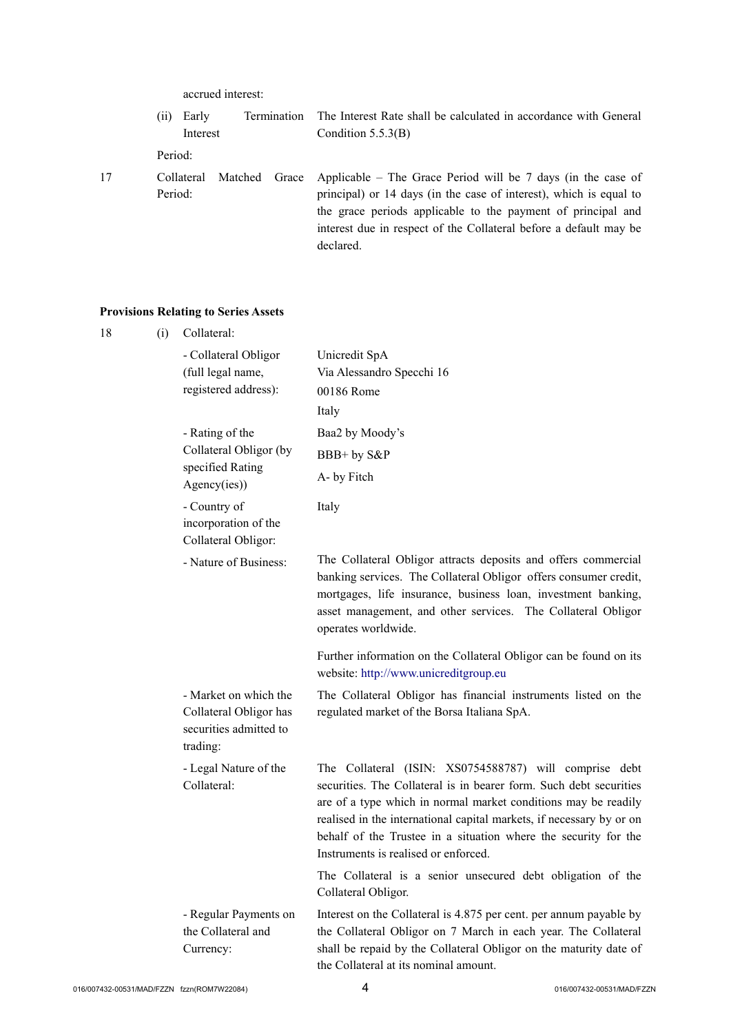accrued interest:

|    | Early<br>Termination<br>(i) | The Interest Rate shall be calculated in accordance with General                                                                                                                                                                                                                                   |
|----|-----------------------------|----------------------------------------------------------------------------------------------------------------------------------------------------------------------------------------------------------------------------------------------------------------------------------------------------|
|    | Interest                    | Condition $5.5.3(B)$                                                                                                                                                                                                                                                                               |
|    | Period:                     |                                                                                                                                                                                                                                                                                                    |
| 17 | Collateral<br>Period:       | Matched Grace Applicable – The Grace Period will be 7 days (in the case of<br>principal) or 14 days (in the case of interest), which is equal to<br>the grace periods applicable to the payment of principal and<br>interest due in respect of the Collateral before a default may be<br>declared. |

## **Provisions Relating to Series Assets**

| 18 | (i) | Collateral:                                                                           |                                                                                                                                                                                                                                                                                                                                                                                   |
|----|-----|---------------------------------------------------------------------------------------|-----------------------------------------------------------------------------------------------------------------------------------------------------------------------------------------------------------------------------------------------------------------------------------------------------------------------------------------------------------------------------------|
|    |     | - Collateral Obligor<br>(full legal name,<br>registered address):                     | Unicredit SpA<br>Via Alessandro Specchi 16<br>00186 Rome<br>Italy                                                                                                                                                                                                                                                                                                                 |
|    |     | - Rating of the<br>Collateral Obligor (by<br>specified Rating<br>Agency(ies))         | Baa2 by Moody's<br>BBB+ by S&P<br>A- by Fitch                                                                                                                                                                                                                                                                                                                                     |
|    |     | - Country of<br>incorporation of the<br>Collateral Obligor:                           | Italy                                                                                                                                                                                                                                                                                                                                                                             |
|    |     | - Nature of Business:                                                                 | The Collateral Obligor attracts deposits and offers commercial<br>banking services. The Collateral Obligor offers consumer credit,<br>mortgages, life insurance, business loan, investment banking,<br>asset management, and other services. The Collateral Obligor<br>operates worldwide.                                                                                        |
|    |     |                                                                                       | Further information on the Collateral Obligor can be found on its<br>website: http://www.unicreditgroup.eu                                                                                                                                                                                                                                                                        |
|    |     | - Market on which the<br>Collateral Obligor has<br>securities admitted to<br>trading: | The Collateral Obligor has financial instruments listed on the<br>regulated market of the Borsa Italiana SpA.                                                                                                                                                                                                                                                                     |
|    |     | - Legal Nature of the<br>Collateral:                                                  | The Collateral (ISIN: XS0754588787) will comprise debt<br>securities. The Collateral is in bearer form. Such debt securities<br>are of a type which in normal market conditions may be readily<br>realised in the international capital markets, if necessary by or on<br>behalf of the Trustee in a situation where the security for the<br>Instruments is realised or enforced. |
|    |     |                                                                                       | The Collateral is a senior unsecured debt obligation of the<br>Collateral Obligor.                                                                                                                                                                                                                                                                                                |
|    |     | - Regular Payments on<br>the Collateral and<br>Currency:                              | Interest on the Collateral is 4.875 per cent. per annum payable by<br>the Collateral Obligor on 7 March in each year. The Collateral<br>shall be repaid by the Collateral Obligor on the maturity date of<br>the Collateral at its nominal amount.                                                                                                                                |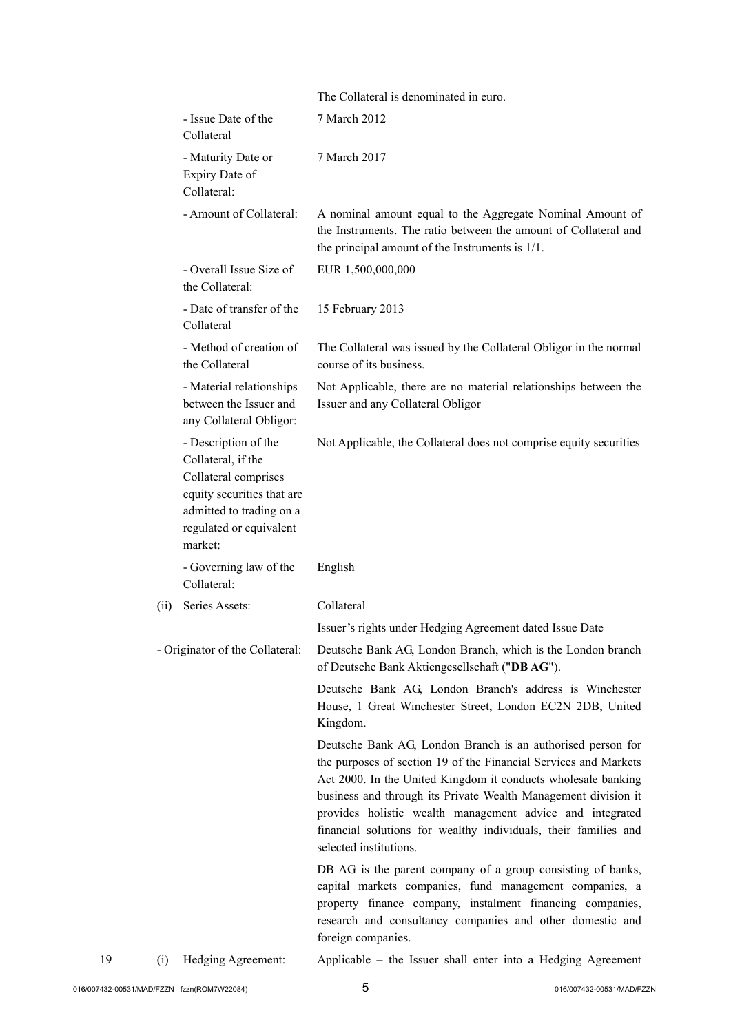|      |                                                                                                                                                                    | The Collateral is denominated in euro.                                                                                                                                                                                                                                                                                                                                                                                       |
|------|--------------------------------------------------------------------------------------------------------------------------------------------------------------------|------------------------------------------------------------------------------------------------------------------------------------------------------------------------------------------------------------------------------------------------------------------------------------------------------------------------------------------------------------------------------------------------------------------------------|
|      | - Issue Date of the<br>Collateral                                                                                                                                  | 7 March 2012                                                                                                                                                                                                                                                                                                                                                                                                                 |
|      | - Maturity Date or<br>Expiry Date of<br>Collateral:                                                                                                                | 7 March 2017                                                                                                                                                                                                                                                                                                                                                                                                                 |
|      | - Amount of Collateral:                                                                                                                                            | A nominal amount equal to the Aggregate Nominal Amount of<br>the Instruments. The ratio between the amount of Collateral and<br>the principal amount of the Instruments is $1/1$ .                                                                                                                                                                                                                                           |
|      | - Overall Issue Size of<br>the Collateral:                                                                                                                         | EUR 1,500,000,000                                                                                                                                                                                                                                                                                                                                                                                                            |
|      | - Date of transfer of the<br>Collateral                                                                                                                            | 15 February 2013                                                                                                                                                                                                                                                                                                                                                                                                             |
|      | - Method of creation of<br>the Collateral                                                                                                                          | The Collateral was issued by the Collateral Obligor in the normal<br>course of its business.                                                                                                                                                                                                                                                                                                                                 |
|      | - Material relationships<br>between the Issuer and<br>any Collateral Obligor:                                                                                      | Not Applicable, there are no material relationships between the<br>Issuer and any Collateral Obligor                                                                                                                                                                                                                                                                                                                         |
|      | - Description of the<br>Collateral, if the<br>Collateral comprises<br>equity securities that are<br>admitted to trading on a<br>regulated or equivalent<br>market: | Not Applicable, the Collateral does not comprise equity securities                                                                                                                                                                                                                                                                                                                                                           |
|      | - Governing law of the<br>Collateral:                                                                                                                              | English                                                                                                                                                                                                                                                                                                                                                                                                                      |
| (ii) | Series Assets:                                                                                                                                                     | Collateral                                                                                                                                                                                                                                                                                                                                                                                                                   |
|      |                                                                                                                                                                    | Issuer's rights under Hedging Agreement dated Issue Date                                                                                                                                                                                                                                                                                                                                                                     |
|      | - Originator of the Collateral:                                                                                                                                    | Deutsche Bank AG, London Branch, which is the London branch<br>of Deutsche Bank Aktiengesellschaft ("DB AG").                                                                                                                                                                                                                                                                                                                |
|      |                                                                                                                                                                    | Deutsche Bank AG, London Branch's address is Winchester<br>House, 1 Great Winchester Street, London EC2N 2DB, United<br>Kingdom.                                                                                                                                                                                                                                                                                             |
|      |                                                                                                                                                                    | Deutsche Bank AG, London Branch is an authorised person for<br>the purposes of section 19 of the Financial Services and Markets<br>Act 2000. In the United Kingdom it conducts wholesale banking<br>business and through its Private Wealth Management division it<br>provides holistic wealth management advice and integrated<br>financial solutions for wealthy individuals, their families and<br>selected institutions. |
|      |                                                                                                                                                                    | DB AG is the parent company of a group consisting of banks,<br>capital markets companies, fund management companies, a<br>property finance company, instalment financing companies,<br>research and consultancy companies and other domestic and<br>foreign companies.                                                                                                                                                       |

19 (i) Hedging Agreement: Applicable – the Issuer shall enter into a Hedging Agreement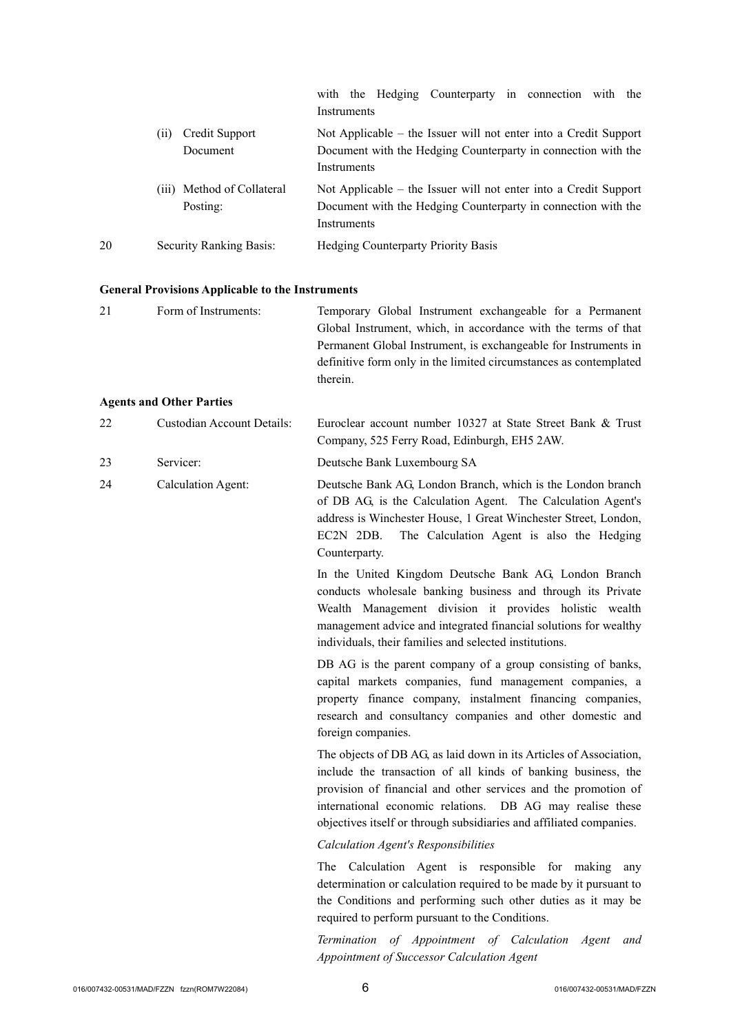|    |                                        | with the Hedging Counterparty in connection with the<br>Instruments                                                                              |
|----|----------------------------------------|--------------------------------------------------------------------------------------------------------------------------------------------------|
|    | Credit Support<br>(11)<br>Document     | Not Applicable – the Issuer will not enter into a Credit Support<br>Document with the Hedging Counterparty in connection with the<br>Instruments |
|    | (iii) Method of Collateral<br>Posting: | Not Applicable – the Issuer will not enter into a Credit Support<br>Document with the Hedging Counterparty in connection with the<br>Instruments |
| 20 | <b>Security Ranking Basis:</b>         | <b>Hedging Counterparty Priority Basis</b>                                                                                                       |

#### **General Provisions Applicable to the Instruments**

| 21 | Form of Instruments: | Temporary Global Instrument exchangeable for a Permanent          |
|----|----------------------|-------------------------------------------------------------------|
|    |                      | Global Instrument, which, in accordance with the terms of that    |
|    |                      | Permanent Global Instrument, is exchangeable for Instruments in   |
|    |                      | definitive form only in the limited circumstances as contemplated |
|    |                      | therein.                                                          |
|    |                      |                                                                   |

#### **Agents and Other Parties**

| 22 | Custodian Account Details: | Euroclear account number 10327 at State Street Bank & Trust |  |  |  |
|----|----------------------------|-------------------------------------------------------------|--|--|--|
|    |                            | Company, 525 Ferry Road, Edinburgh, EH5 2AW.                |  |  |  |

23 Servicer: Deutsche Bank Luxembourg SA

24 Calculation Agent: Deutsche Bank AG, London Branch, which is the London branch of DB AG, is the Calculation Agent. The Calculation Agent's address is Winchester House, 1 Great Winchester Street, London, EC2N 2DB. The Calculation Agent is also the Hedging Counterparty.

> In the United Kingdom Deutsche Bank AG, London Branch conducts wholesale banking business and through its Private Wealth Management division it provides holistic wealth management advice and integrated financial solutions for wealthy individuals, their families and selected institutions.

> DB AG is the parent company of a group consisting of banks, capital markets companies, fund management companies, a property finance company, instalment financing companies, research and consultancy companies and other domestic and foreign companies.

> The objects of DB AG, as laid down in its Articles of Association, include the transaction of all kinds of banking business, the provision of financial and other services and the promotion of international economic relations. DB AG may realise these objectives itself or through subsidiaries and affiliated companies.

*Calculation Agent's Responsibilities*

The Calculation Agent is responsible for making any determination or calculation required to be made by it pursuant to the Conditions and performing such other duties as it may be required to perform pursuant to the Conditions.

*Termination of Appointment of Calculation Agent and Appointment of Successor Calculation Agent*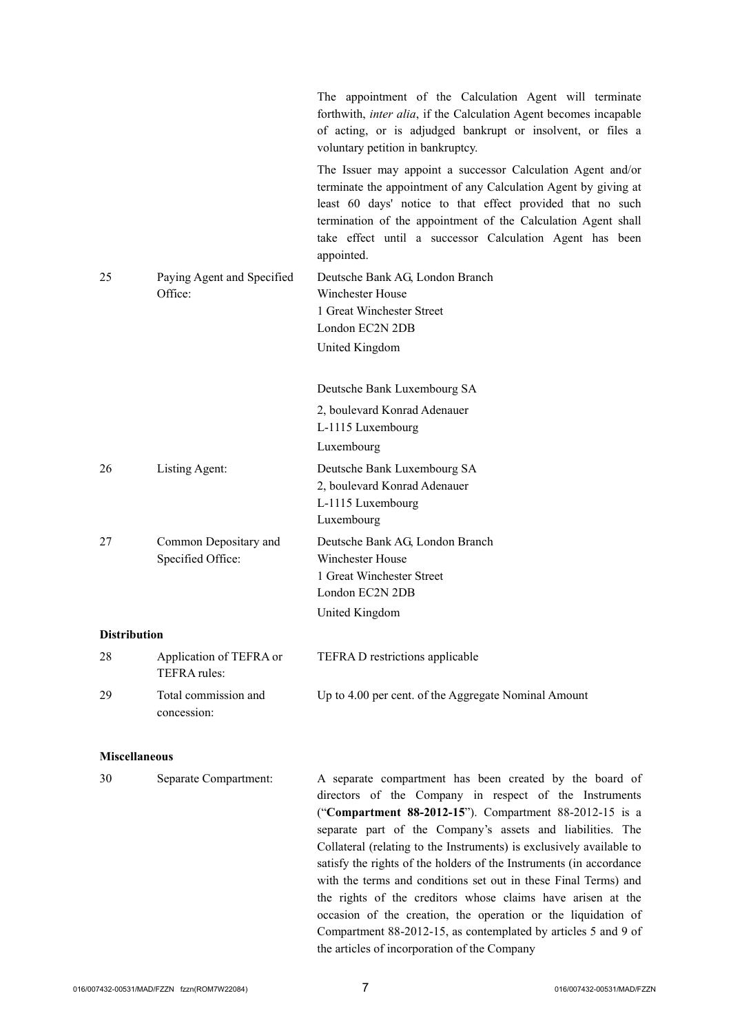|                           |                                            | The appointment of the Calculation Agent will terminate<br>forthwith, <i>inter alia</i> , if the Calculation Agent becomes incapable<br>of acting, or is adjudged bankrupt or insolvent, or files a<br>voluntary petition in bankruptcy.                                                                                                                                                                                                                                                                                                                                                                                                                       |
|---------------------------|--------------------------------------------|----------------------------------------------------------------------------------------------------------------------------------------------------------------------------------------------------------------------------------------------------------------------------------------------------------------------------------------------------------------------------------------------------------------------------------------------------------------------------------------------------------------------------------------------------------------------------------------------------------------------------------------------------------------|
|                           |                                            | The Issuer may appoint a successor Calculation Agent and/or<br>terminate the appointment of any Calculation Agent by giving at<br>least 60 days' notice to that effect provided that no such<br>termination of the appointment of the Calculation Agent shall<br>take effect until a successor Calculation Agent has been<br>appointed.                                                                                                                                                                                                                                                                                                                        |
| 25                        | Paying Agent and Specified<br>Office:      | Deutsche Bank AG, London Branch<br>Winchester House<br>1 Great Winchester Street<br>London EC2N 2DB                                                                                                                                                                                                                                                                                                                                                                                                                                                                                                                                                            |
|                           |                                            | United Kingdom                                                                                                                                                                                                                                                                                                                                                                                                                                                                                                                                                                                                                                                 |
|                           |                                            | Deutsche Bank Luxembourg SA                                                                                                                                                                                                                                                                                                                                                                                                                                                                                                                                                                                                                                    |
|                           |                                            | 2, boulevard Konrad Adenauer<br>L-1115 Luxembourg<br>Luxembourg                                                                                                                                                                                                                                                                                                                                                                                                                                                                                                                                                                                                |
| 26                        | Listing Agent:                             | Deutsche Bank Luxembourg SA<br>2, boulevard Konrad Adenauer<br>L-1115 Luxembourg<br>Luxembourg                                                                                                                                                                                                                                                                                                                                                                                                                                                                                                                                                                 |
| 27                        | Common Depositary and<br>Specified Office: | Deutsche Bank AG, London Branch<br>Winchester House<br>1 Great Winchester Street<br>London EC2N 2DB                                                                                                                                                                                                                                                                                                                                                                                                                                                                                                                                                            |
|                           |                                            | United Kingdom                                                                                                                                                                                                                                                                                                                                                                                                                                                                                                                                                                                                                                                 |
| <b>Distribution</b><br>28 | Application of TEFRA or<br>TEFRA rules:    | TEFRA D restrictions applicable                                                                                                                                                                                                                                                                                                                                                                                                                                                                                                                                                                                                                                |
| 29                        | Total commission and<br>concession:        | Up to 4.00 per cent. of the Aggregate Nominal Amount                                                                                                                                                                                                                                                                                                                                                                                                                                                                                                                                                                                                           |
| <b>Miscellaneous</b>      |                                            |                                                                                                                                                                                                                                                                                                                                                                                                                                                                                                                                                                                                                                                                |
| 30                        | Separate Compartment:                      | A separate compartment has been created by the board of<br>directors of the Company in respect of the Instruments<br>("Compartment 88-2012-15"). Compartment 88-2012-15 is a<br>separate part of the Company's assets and liabilities. The<br>Collateral (relating to the Instruments) is exclusively available to<br>satisfy the rights of the holders of the Instruments (in accordance<br>with the terms and conditions set out in these Final Terms) and<br>the rights of the creditors whose claims have arisen at the<br>occasion of the creation, the operation or the liquidation of<br>Compartment 88-2012-15, as contemplated by articles 5 and 9 of |

the articles of incorporation of the Company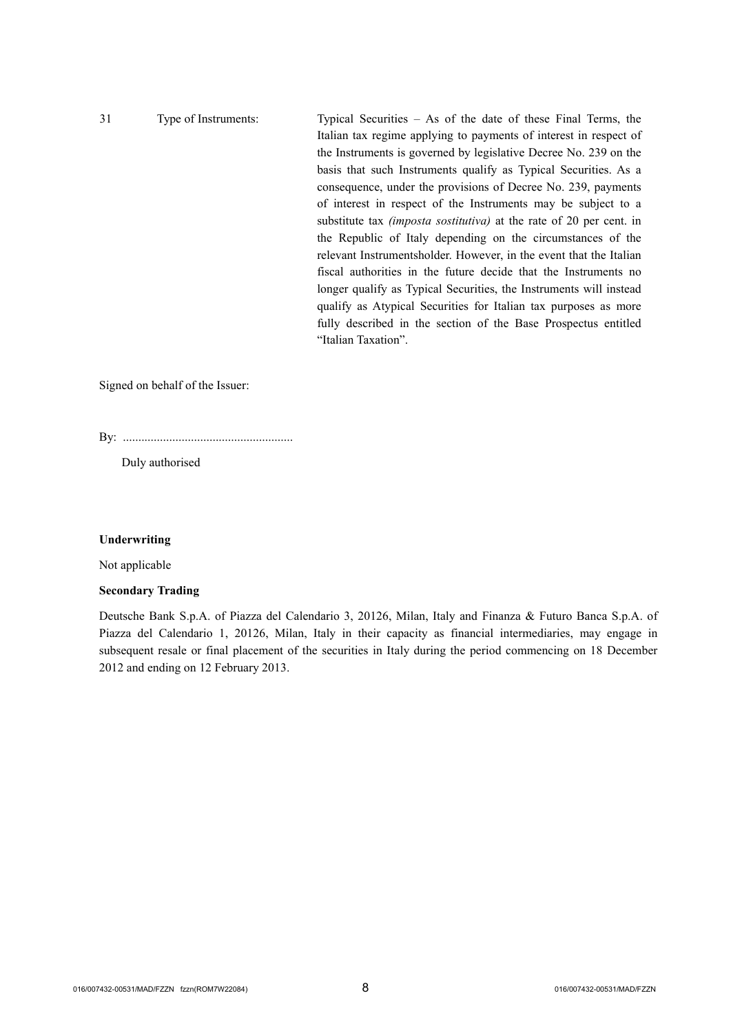| Type of Instruments: | Typical Securities $-$ As of the date of these Final Terms, the            |
|----------------------|----------------------------------------------------------------------------|
|                      | Italian tax regime applying to payments of interest in respect of          |
|                      | the Instruments is governed by legislative Decree No. 239 on the           |
|                      | basis that such Instruments qualify as Typical Securities. As a            |
|                      | consequence, under the provisions of Decree No. 239, payments              |
|                      | of interest in respect of the Instruments may be subject to a              |
|                      | substitute tax <i>(imposta sostitutiva)</i> at the rate of 20 per cent. in |
|                      | the Republic of Italy depending on the circumstances of the                |
|                      | relevant Instrumentsholder. However, in the event that the Italian         |
|                      | fiscal authorities in the future decide that the Instruments no            |
|                      | longer qualify as Typical Securities, the Instruments will instead         |
|                      | qualify as Atypical Securities for Italian tax purposes as more            |
|                      | fully described in the section of the Base Prospectus entitled             |
|                      | "Italian Taxation".                                                        |
|                      |                                                                            |

Signed on behalf of the Issuer:

By: .......................................................

Duly authorised

#### **Underwriting**

Not applicable

### **Secondary Trading**

Deutsche Bank S.p.A. of Piazza del Calendario 3, 20126, Milan, Italy and Finanza & Futuro Banca S.p.A. of Piazza del Calendario 1, 20126, Milan, Italy in their capacity as financial intermediaries, may engage in subsequent resale or final placement of the securities in Italy during the period commencing on 18 December 2012 and ending on 12 February 2013.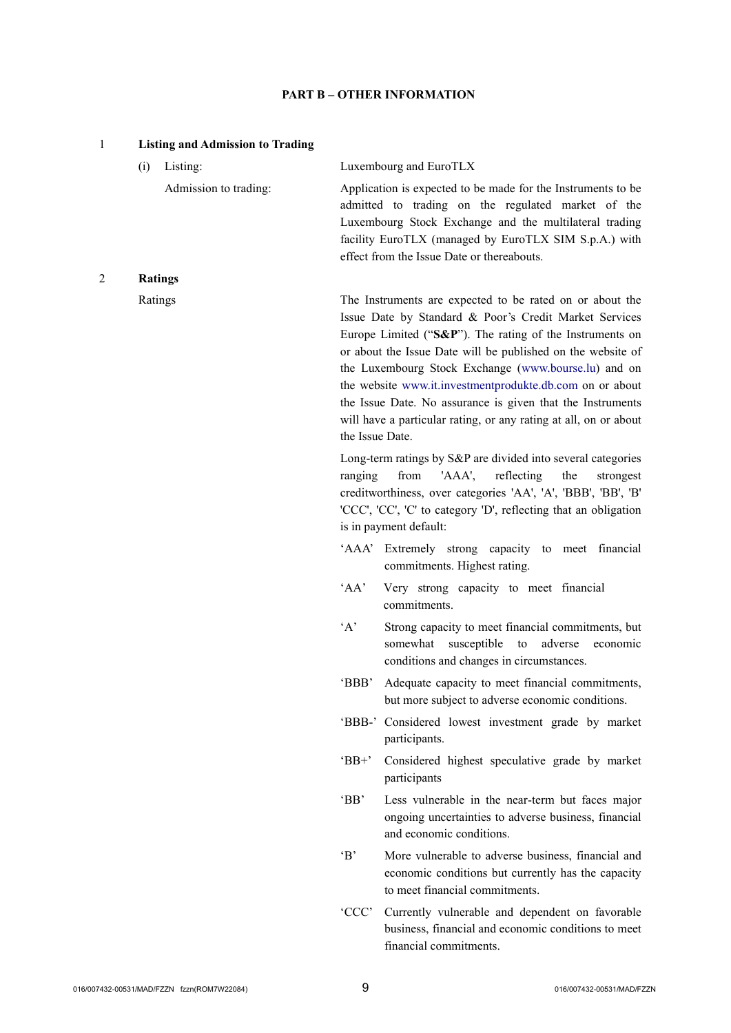## **PART B – OTHER INFORMATION**

| $\mathbf{1}$ |         | <b>Listing and Admission to Trading</b> |                 |                                                                                                                                                                                                                                                                                                                                                                                                                                                                                                          |
|--------------|---------|-----------------------------------------|-----------------|----------------------------------------------------------------------------------------------------------------------------------------------------------------------------------------------------------------------------------------------------------------------------------------------------------------------------------------------------------------------------------------------------------------------------------------------------------------------------------------------------------|
|              | (i)     | Listing:                                |                 | Luxembourg and EuroTLX                                                                                                                                                                                                                                                                                                                                                                                                                                                                                   |
|              |         | Admission to trading:                   |                 | Application is expected to be made for the Instruments to be<br>admitted to trading on the regulated market of the<br>Luxembourg Stock Exchange and the multilateral trading<br>facility EuroTLX (managed by EuroTLX SIM S.p.A.) with<br>effect from the Issue Date or thereabouts.                                                                                                                                                                                                                      |
| 2            |         | <b>Ratings</b>                          |                 |                                                                                                                                                                                                                                                                                                                                                                                                                                                                                                          |
|              | Ratings |                                         | the Issue Date. | The Instruments are expected to be rated on or about the<br>Issue Date by Standard & Poor's Credit Market Services<br>Europe Limited (" $S\&P$ "). The rating of the Instruments on<br>or about the Issue Date will be published on the website of<br>the Luxembourg Stock Exchange (www.bourse.lu) and on<br>the website www.it.investmentprodukte.db.com on or about<br>the Issue Date. No assurance is given that the Instruments<br>will have a particular rating, or any rating at all, on or about |
|              |         |                                         | ranging         | Long-term ratings by S&P are divided into several categories<br>'AAA',<br>reflecting<br>from<br>the<br>strongest<br>creditworthiness, over categories 'AA', 'A', 'BBB', 'BB', 'B'<br>'CCC', 'CC', 'C' to category 'D', reflecting that an obligation<br>is in payment default:                                                                                                                                                                                                                           |
|              |         |                                         |                 | 'AAA' Extremely strong capacity to meet financial<br>commitments. Highest rating.                                                                                                                                                                                                                                                                                                                                                                                                                        |
|              |         |                                         | 'AA'            | Very strong capacity to meet financial<br>commitments.                                                                                                                                                                                                                                                                                                                                                                                                                                                   |
|              |         |                                         | A               | Strong capacity to meet financial commitments, but<br>somewhat<br>susceptible<br>to<br>adverse<br>economic<br>conditions and changes in circumstances.                                                                                                                                                                                                                                                                                                                                                   |
|              |         |                                         | 'BBB'           | Adequate capacity to meet financial commitments,<br>but more subject to adverse economic conditions.                                                                                                                                                                                                                                                                                                                                                                                                     |
|              |         |                                         |                 | 'BBB-' Considered lowest investment grade by market<br>participants.                                                                                                                                                                                                                                                                                                                                                                                                                                     |
|              |         |                                         | $B^+$           | Considered highest speculative grade by market<br>participants                                                                                                                                                                                                                                                                                                                                                                                                                                           |
|              |         |                                         | $B^{\prime}$    | Less vulnerable in the near-term but faces major<br>ongoing uncertainties to adverse business, financial<br>and economic conditions.                                                                                                                                                                                                                                                                                                                                                                     |
|              |         |                                         | $\mathbf{B}$    | More vulnerable to adverse business, financial and<br>economic conditions but currently has the capacity<br>to meet financial commitments.                                                                                                                                                                                                                                                                                                                                                               |
|              |         |                                         | 'CCC'           | Currently vulnerable and dependent on favorable<br>business, financial and economic conditions to meet<br>financial commitments.                                                                                                                                                                                                                                                                                                                                                                         |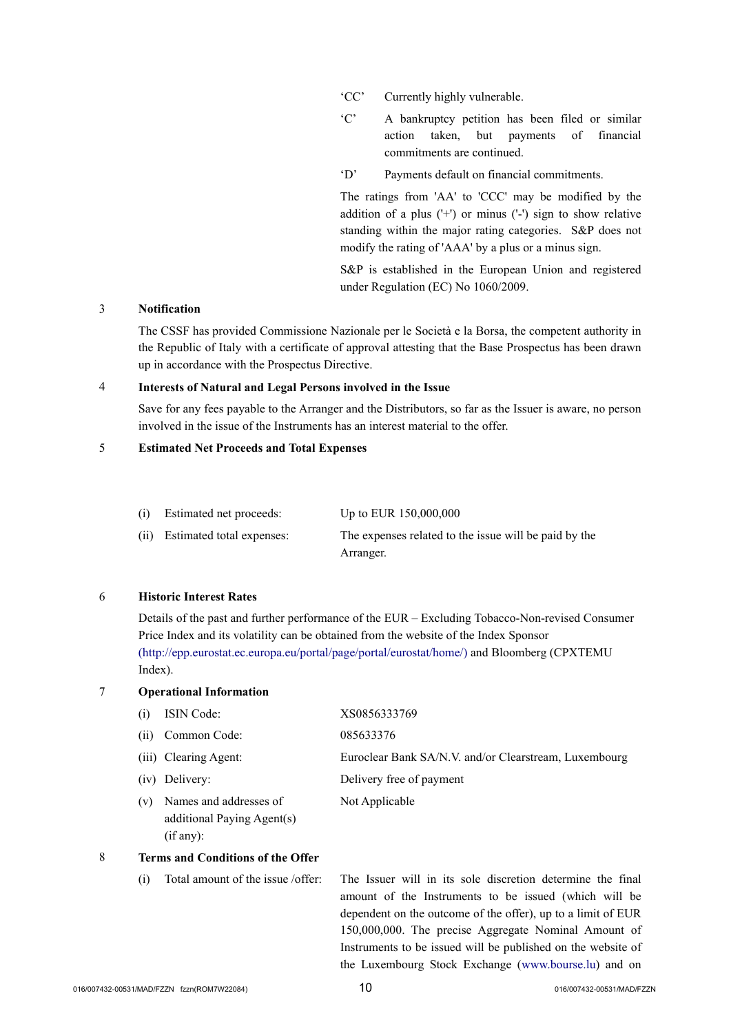'CC' Currently highly vulnerable.

- 'C' A bankruptcy petition has been filed or similar action taken, but payments of financial commitments are continued.
- 'D' Payments default on financial commitments.

The ratings from 'AA' to 'CCC' may be modified by the addition of a plus  $(+)$  or minus  $(')$  sign to show relative standing within the major rating categories. S&P does not modify the rating of 'AAA' by a plus or a minus sign.

S&P is established in the European Union and registered under Regulation (EC) No 1060/2009.

### 3 **Notification**

The CSSF has provided Commissione Nazionale per le Società e la Borsa, the competent authority in the Republic of Italy with a certificate of approval attesting that the Base Prospectus has been drawn up in accordance with the Prospectus Directive.

#### 4 **Interests of Natural and Legal Persons involved in the Issue**

Save for any fees payable to the Arranger and the Distributors, so far as the Issuer is aware, no person involved in the issue of the Instruments has an interest material to the offer.

#### 5 **Estimated Net Proceeds and Total Expenses**

| (i) Estimated net proceeds:    | Up to EUR 150,000,000                             |
|--------------------------------|---------------------------------------------------|
| $(i)$ Fetimated total expenses | The expenses related to the issue will be paid by |

(ii) Estimated total expenses: The expenses related to the issue will be paid by the Arranger.

## 6 **Historic Interest Rates**

Details of the past and further performance of the EUR – Excluding Tobacco-Non-revised Consumer Price Index and its volatility can be obtained from the website of the Index Sponsor [\(http://epp.eurostat.ec.europa.eu/portal/page/portal/eurostat/home/\)](http://epp.eurostat.ec.europa.eu/portal/page/portal/eurostat/home/) and Bloomberg (CPXTEMU Index).

## 7 **Operational Information**

| (i) | <b>ISIN</b> Code:                                                 | XS0856333769                                          |
|-----|-------------------------------------------------------------------|-------------------------------------------------------|
| (i) | Common Code:                                                      | 085633376                                             |
|     | (iii) Clearing Agent:                                             | Euroclear Bank SA/N.V. and/or Clearstream, Luxembourg |
|     | (iv) Delivery:                                                    | Delivery free of payment                              |
| (v) | Names and addresses of<br>additional Paying Agent(s)<br>(if any): | Not Applicable                                        |

#### 8 **Terms and Conditions of the Offer**

(i) Total amount of the issue /offer: The Issuer will in its sole discretion determine the final amount of the Instruments to be issued (which will be dependent on the outcome of the offer), up to a limit of EUR 150,000,000. The precise Aggregate Nominal Amount of Instruments to be issued will be published on the website of the Luxembourg Stock Exchange ([www.bourse.lu\)](http://www.bourse.lu/) and on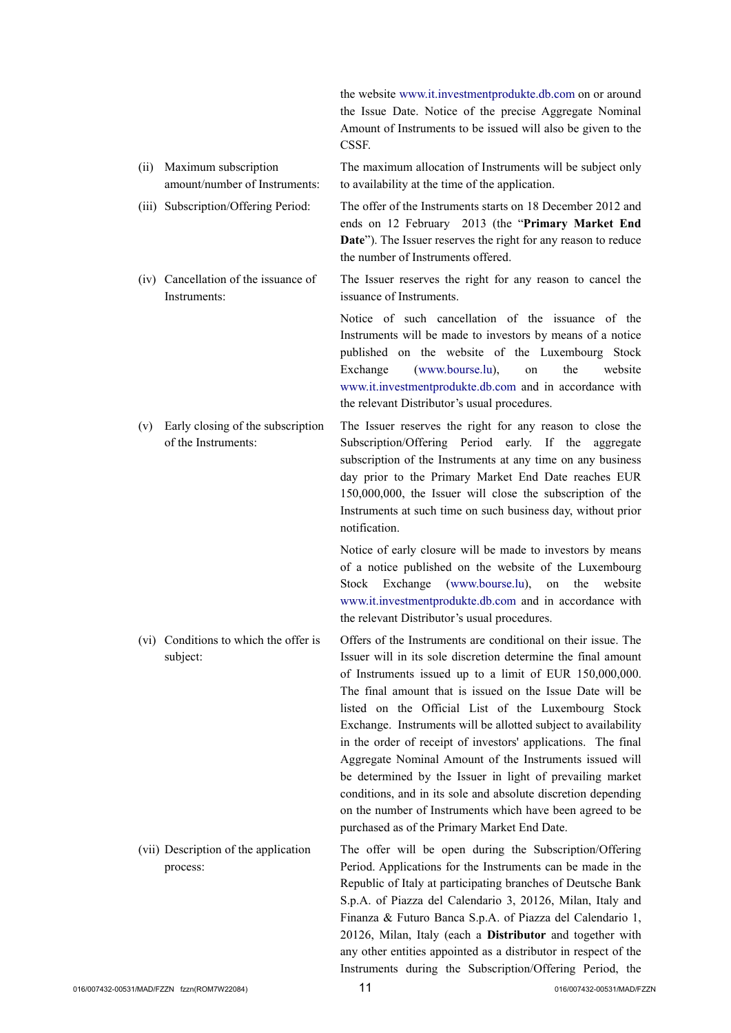the website [www.it.investmentprodukte.db.com](http://www.it.investmentprodukte.db.com/) on or around the Issue Date. Notice of the precise Aggregate Nominal Amount of Instruments to be issued will also be given to the **CSSF.** 

The maximum allocation of Instruments will be subject only

ends on 12 February 2013 (the "**Primary Market End Date**"). The Issuer reserves the right for any reason to reduce

The Issuer reserves the right for any reason to cancel the

to availability at the time of the application.

the number of Instruments offered.

issuance of Instruments.

- (ii) Maximum subscription amount/number of Instruments:
- (iii) Subscription/Offering Period: The offer of the Instruments starts on 18 December 2012 and
- (iv) Cancellation of the issuance of Instruments:

Notice of such cancellation of the issuance of the Instruments will be made to investors by means of a notice published on the website of the Luxembourg Stock Exchange ([www.bourse.lu\)](http://www.bourse.lu/), on the website [www.it.investmentprodukte.db.com](http://www.it.investmentprodukte.db.com/) and in accordance with the relevant Distributor's usual procedures.

(v) Early closing of the subscription of the Instruments: The Issuer reserves the right for any reason to close the Subscription/Offering Period early. If the aggregate subscription of the Instruments at any time on any business day prior to the Primary Market End Date reaches EUR 150,000,000, the Issuer will close the subscription of the Instruments at such time on such business day, without prior notification.

> Notice of early closure will be made to investors by means of a notice published on the website of the Luxembourg Stock Exchange ([www.bourse.lu\)](http://www.bourse.lu/), on the website [www.it.investmentprodukte.db.com](http://www.it.investmentprodukte.db.com/) and in accordance with the relevant Distributor's usual procedures.

- (vi) Conditions to which the offer is subject: Offers of the Instruments are conditional on their issue. The Issuer will in its sole discretion determine the final amount of Instruments issued up to a limit of EUR 150,000,000. The final amount that is issued on the Issue Date will be listed on the Official List of the Luxembourg Stock Exchange. Instruments will be allotted subject to availability in the order of receipt of investors' applications. The final Aggregate Nominal Amount of the Instruments issued will be determined by the Issuer in light of prevailing market conditions, and in its sole and absolute discretion depending on the number of Instruments which have been agreed to be purchased as of the Primary Market End Date.
- (vii) Description of the application process: The offer will be open during the Subscription/Offering Period. Applications for the Instruments can be made in the Republic of Italy at participating branches of Deutsche Bank S.p.A. of Piazza del Calendario 3, 20126, Milan, Italy and Finanza & Futuro Banca S.p.A. of Piazza del Calendario 1, 20126, Milan, Italy (each a **Distributor** and together with any other entities appointed as a distributor in respect of the Instruments during the Subscription/Offering Period, the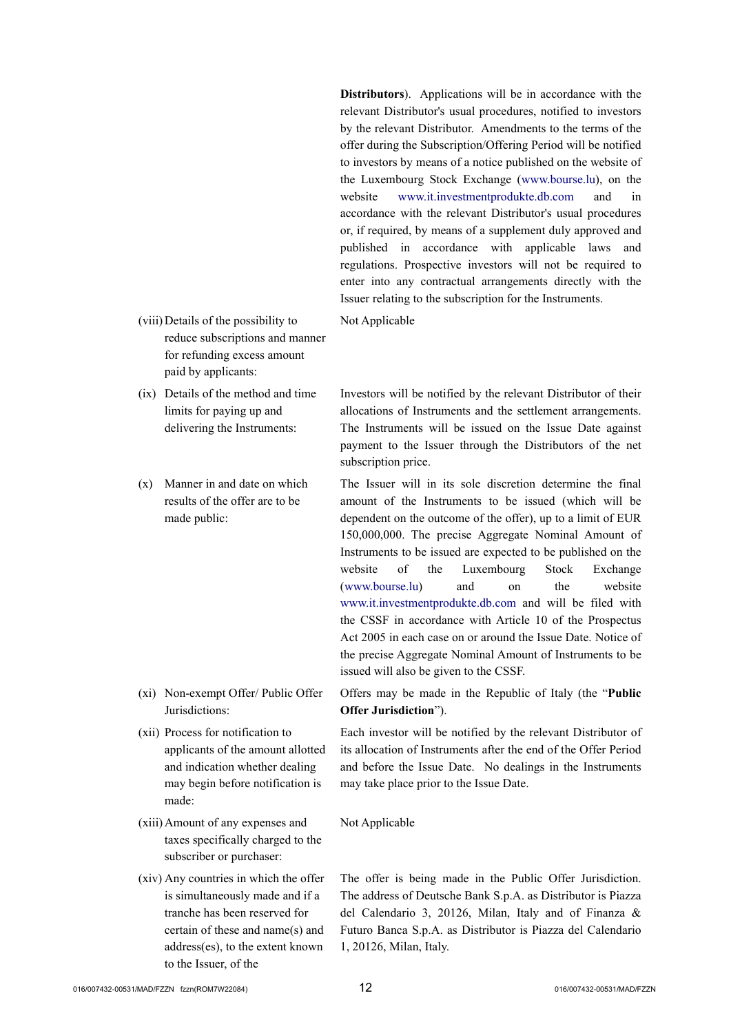**Distributors**). Applications will be in accordance with the relevant Distributor's usual procedures, notified to investors by the relevant Distributor. Amendments to the terms of the offer during the Subscription/Offering Period will be notified to investors by means of a notice published on the website of the Luxembourg Stock Exchange ([www.bourse.lu\)](http://www.bourse.lu/), on the website [www.it.investmentprodukte.db.com](http://www.it.investmentprodukte.db.com/) and in accordance with the relevant Distributor's usual procedures or, if required, by means of a supplement duly approved and published in accordance with applicable laws and regulations. Prospective investors will not be required to enter into any contractual arrangements directly with the Issuer relating to the subscription for the Instruments.

- (viii)Details of the possibility to reduce subscriptions and manner for refunding excess amount paid by applicants:
- (ix) Details of the method and time limits for paying up and delivering the Instruments:
- (x) Manner in and date on which results of the offer are to be made public:

- (xi) Non-exempt Offer/ Public Offer Jurisdictions:
- (xii) Process for notification to applicants of the amount allotted and indication whether dealing may begin before notification is made:
- (xiii)Amount of any expenses and taxes specifically charged to the subscriber or purchaser:
- (xiv) Any countries in which the offer is simultaneously made and if a tranche has been reserved for certain of these and name(s) and address(es), to the extent known to the Issuer, of the

Not Applicable

Investors will be notified by the relevant Distributor of their allocations of Instruments and the settlement arrangements. The Instruments will be issued on the Issue Date against payment to the Issuer through the Distributors of the net subscription price.

The Issuer will in its sole discretion determine the final amount of the Instruments to be issued (which will be dependent on the outcome of the offer), up to a limit of EUR 150,000,000. The precise Aggregate Nominal Amount of Instruments to be issued are expected to be published on the website of the Luxembourg Stock Exchange [\(www.bourse.lu\)](http://www.bourse.lu/) and on the website [www.it.investmentprodukte.db.com](http://www.it.investmentprodukte.db.com/) and will be filed with the CSSF in accordance with Article 10 of the Prospectus Act 2005 in each case on or around the Issue Date. Notice of the precise Aggregate Nominal Amount of Instruments to be issued will also be given to the CSSF.

Offers may be made in the Republic of Italy (the "**Public Offer Jurisdiction**").

Each investor will be notified by the relevant Distributor of its allocation of Instruments after the end of the Offer Period and before the Issue Date. No dealings in the Instruments may take place prior to the Issue Date.

### Not Applicable

The offer is being made in the Public Offer Jurisdiction. The address of Deutsche Bank S.p.A. as Distributor is Piazza del Calendario 3, 20126, Milan, Italy and of Finanza & Futuro Banca S.p.A. as Distributor is Piazza del Calendario 1, 20126, Milan, Italy.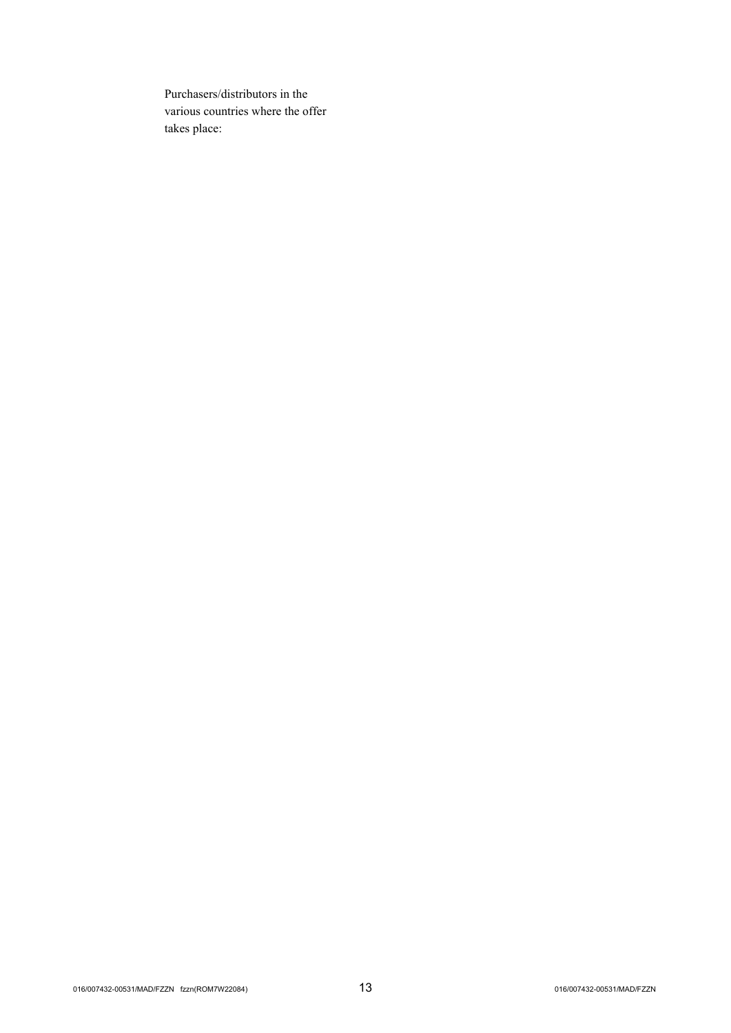Purchasers/distributors in the various countries where the offer takes place: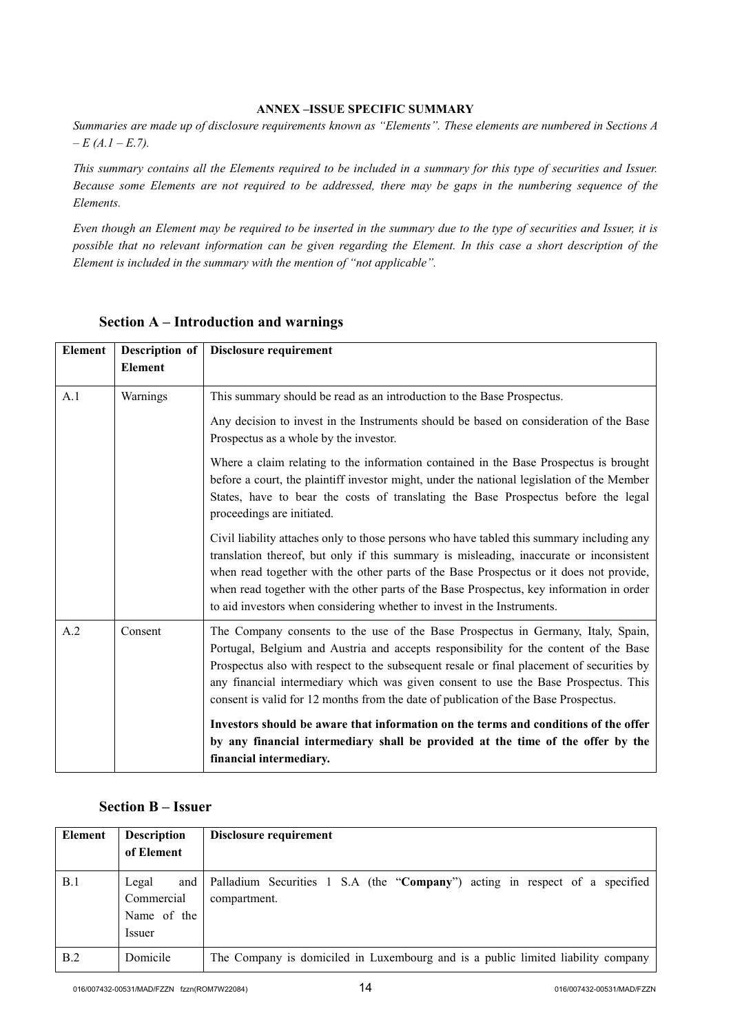#### **ANNEX –ISSUE SPECIFIC SUMMARY**

*Summaries are made up of disclosure requirements known as "Elements". These elements are numbered in Sections A – E (A.1 – E.7).*

*This summary contains all the Elements required to be included in a summary for this type of securities and Issuer. Because some Elements are not required to be addressed, there may be gaps in the numbering sequence of the Elements.*

*Even though an Element may be required to be inserted in the summary due to the type of securities and Issuer, it is possible that no relevant information can be given regarding the Element. In this case a short description of the Element is included in the summary with the mention of "not applicable".*

| <b>Element</b> | Description of | Disclosure requirement                                                                                                                                                                                                                                                                                                                                                                                                                                |
|----------------|----------------|-------------------------------------------------------------------------------------------------------------------------------------------------------------------------------------------------------------------------------------------------------------------------------------------------------------------------------------------------------------------------------------------------------------------------------------------------------|
|                | <b>Element</b> |                                                                                                                                                                                                                                                                                                                                                                                                                                                       |
| A.1            | Warnings       | This summary should be read as an introduction to the Base Prospectus.                                                                                                                                                                                                                                                                                                                                                                                |
|                |                | Any decision to invest in the Instruments should be based on consideration of the Base<br>Prospectus as a whole by the investor.                                                                                                                                                                                                                                                                                                                      |
|                |                | Where a claim relating to the information contained in the Base Prospectus is brought<br>before a court, the plaintiff investor might, under the national legislation of the Member<br>States, have to bear the costs of translating the Base Prospectus before the legal<br>proceedings are initiated.                                                                                                                                               |
|                |                | Civil liability attaches only to those persons who have tabled this summary including any<br>translation thereof, but only if this summary is misleading, inaccurate or inconsistent<br>when read together with the other parts of the Base Prospectus or it does not provide,<br>when read together with the other parts of the Base Prospectus, key information in order<br>to aid investors when considering whether to invest in the Instruments. |
| A.2            | Consent        | The Company consents to the use of the Base Prospectus in Germany, Italy, Spain,<br>Portugal, Belgium and Austria and accepts responsibility for the content of the Base<br>Prospectus also with respect to the subsequent resale or final placement of securities by<br>any financial intermediary which was given consent to use the Base Prospectus. This<br>consent is valid for 12 months from the date of publication of the Base Prospectus.   |
|                |                | Investors should be aware that information on the terms and conditions of the offer<br>by any financial intermediary shall be provided at the time of the offer by the<br>financial intermediary.                                                                                                                                                                                                                                                     |

## **Section A – Introduction and warnings**

## **Section B – Issuer**

| Element | <b>Description</b><br>of Element                    | Disclosure requirement                                                                      |
|---------|-----------------------------------------------------|---------------------------------------------------------------------------------------------|
| B.1     | Legal<br>and<br>Commercial<br>Name of the<br>Issuer | Palladium Securities 1 S.A (the "Company") acting in respect of a specified<br>compartment. |
| B.2     | Domicile                                            | The Company is domiciled in Luxembourg and is a public limited liability company            |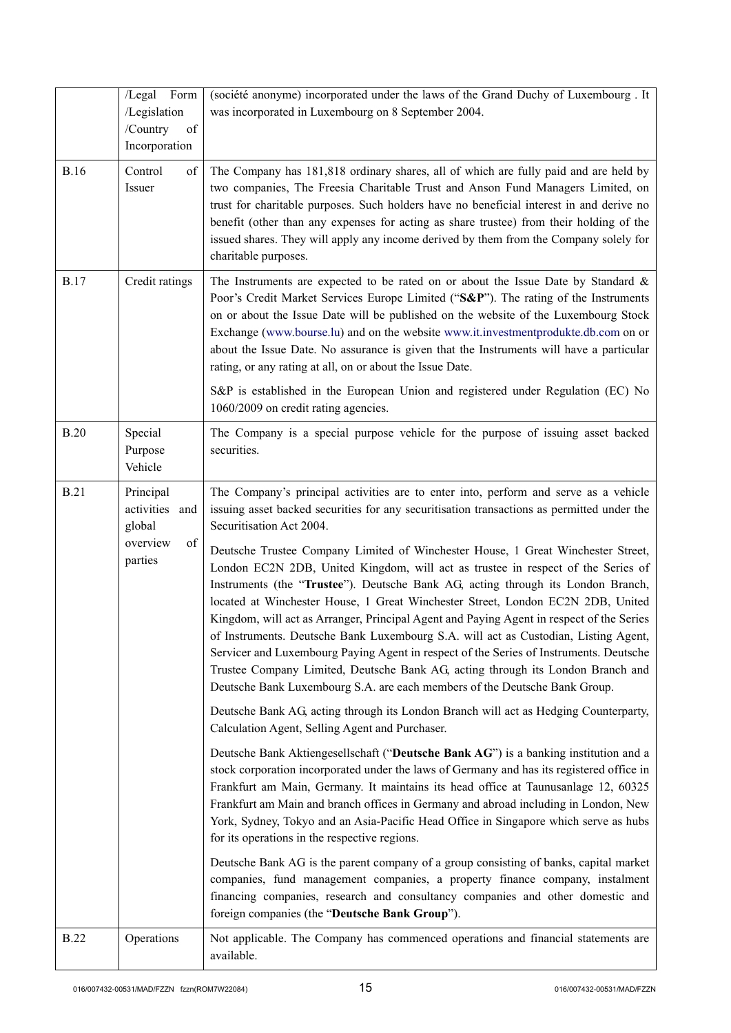|             | /Legal<br>Form<br>/Legislation<br>/Country<br>of<br>Incorporation  | (société anonyme) incorporated under the laws of the Grand Duchy of Luxembourg . It<br>was incorporated in Luxembourg on 8 September 2004.                                                                                                                                                                                                                                                                                                                                                                                                                                                                        |
|-------------|--------------------------------------------------------------------|-------------------------------------------------------------------------------------------------------------------------------------------------------------------------------------------------------------------------------------------------------------------------------------------------------------------------------------------------------------------------------------------------------------------------------------------------------------------------------------------------------------------------------------------------------------------------------------------------------------------|
| <b>B.16</b> | Control<br>of<br>Issuer                                            | The Company has 181,818 ordinary shares, all of which are fully paid and are held by<br>two companies, The Freesia Charitable Trust and Anson Fund Managers Limited, on<br>trust for charitable purposes. Such holders have no beneficial interest in and derive no<br>benefit (other than any expenses for acting as share trustee) from their holding of the<br>issued shares. They will apply any income derived by them from the Company solely for<br>charitable purposes.                                                                                                                                   |
| <b>B.17</b> | Credit ratings                                                     | The Instruments are expected to be rated on or about the Issue Date by Standard $\&$<br>Poor's Credit Market Services Europe Limited ("S&P"). The rating of the Instruments<br>on or about the Issue Date will be published on the website of the Luxembourg Stock<br>Exchange (www.bourse.lu) and on the website www.it.investmentprodukte.db.com on or<br>about the Issue Date. No assurance is given that the Instruments will have a particular<br>rating, or any rating at all, on or about the Issue Date.                                                                                                  |
|             |                                                                    | S&P is established in the European Union and registered under Regulation (EC) No<br>1060/2009 on credit rating agencies.                                                                                                                                                                                                                                                                                                                                                                                                                                                                                          |
| <b>B.20</b> | Special<br>Purpose<br>Vehicle                                      | The Company is a special purpose vehicle for the purpose of issuing asset backed<br>securities.                                                                                                                                                                                                                                                                                                                                                                                                                                                                                                                   |
| <b>B.21</b> | Principal<br>activities and<br>global<br>overview<br>of<br>parties | The Company's principal activities are to enter into, perform and serve as a vehicle<br>issuing asset backed securities for any securitisation transactions as permitted under the<br>Securitisation Act 2004.<br>Deutsche Trustee Company Limited of Winchester House, 1 Great Winchester Street,<br>London EC2N 2DB, United Kingdom, will act as trustee in respect of the Series of                                                                                                                                                                                                                            |
|             |                                                                    | Instruments (the "Trustee"). Deutsche Bank AG, acting through its London Branch,<br>located at Winchester House, 1 Great Winchester Street, London EC2N 2DB, United<br>Kingdom, will act as Arranger, Principal Agent and Paying Agent in respect of the Series<br>of Instruments. Deutsche Bank Luxembourg S.A. will act as Custodian, Listing Agent,<br>Servicer and Luxembourg Paying Agent in respect of the Series of Instruments. Deutsche<br>Trustee Company Limited, Deutsche Bank AG, acting through its London Branch and<br>Deutsche Bank Luxembourg S.A. are each members of the Deutsche Bank Group. |
|             |                                                                    | Deutsche Bank AG, acting through its London Branch will act as Hedging Counterparty,<br>Calculation Agent, Selling Agent and Purchaser.                                                                                                                                                                                                                                                                                                                                                                                                                                                                           |
|             |                                                                    | Deutsche Bank Aktiengesellschaft ("Deutsche Bank AG") is a banking institution and a<br>stock corporation incorporated under the laws of Germany and has its registered office in<br>Frankfurt am Main, Germany. It maintains its head office at Taunusanlage 12, 60325<br>Frankfurt am Main and branch offices in Germany and abroad including in London, New<br>York, Sydney, Tokyo and an Asia-Pacific Head Office in Singapore which serve as hubs<br>for its operations in the respective regions.                                                                                                           |
|             |                                                                    | Deutsche Bank AG is the parent company of a group consisting of banks, capital market<br>companies, fund management companies, a property finance company, instalment<br>financing companies, research and consultancy companies and other domestic and<br>foreign companies (the "Deutsche Bank Group").                                                                                                                                                                                                                                                                                                         |
| <b>B.22</b> | Operations                                                         | Not applicable. The Company has commenced operations and financial statements are<br>available.                                                                                                                                                                                                                                                                                                                                                                                                                                                                                                                   |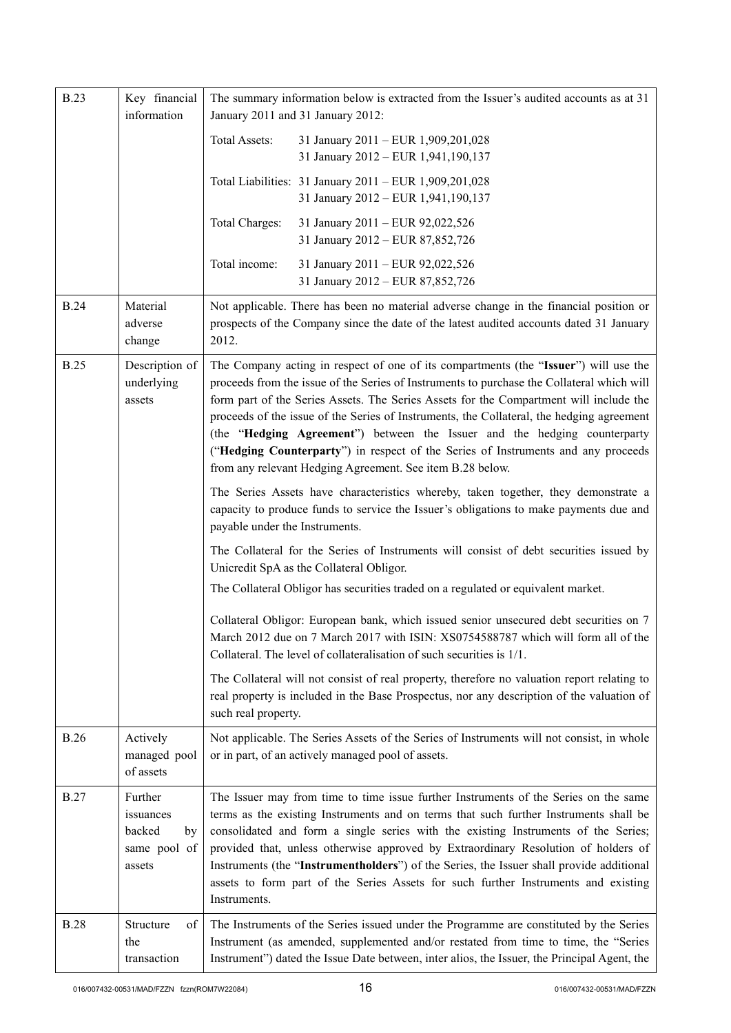| <b>B.23</b> | Key financial<br>information                                   | The summary information below is extracted from the Issuer's audited accounts as at 31<br>January 2011 and 31 January 2012:                                                                                                                                                                                                                                                                                                                                                                                                                                                                              |
|-------------|----------------------------------------------------------------|----------------------------------------------------------------------------------------------------------------------------------------------------------------------------------------------------------------------------------------------------------------------------------------------------------------------------------------------------------------------------------------------------------------------------------------------------------------------------------------------------------------------------------------------------------------------------------------------------------|
|             |                                                                | Total Assets:<br>31 January 2011 - EUR 1,909,201,028<br>31 January 2012 - EUR 1,941,190,137                                                                                                                                                                                                                                                                                                                                                                                                                                                                                                              |
|             |                                                                | Total Liabilities: 31 January 2011 - EUR 1,909,201,028<br>31 January 2012 - EUR 1,941,190,137                                                                                                                                                                                                                                                                                                                                                                                                                                                                                                            |
|             |                                                                | Total Charges:<br>31 January 2011 - EUR 92,022,526<br>31 January 2012 - EUR 87,852,726                                                                                                                                                                                                                                                                                                                                                                                                                                                                                                                   |
|             |                                                                | Total income:<br>31 January 2011 - EUR 92,022,526<br>31 January 2012 - EUR 87,852,726                                                                                                                                                                                                                                                                                                                                                                                                                                                                                                                    |
| <b>B.24</b> | Material<br>adverse<br>change                                  | Not applicable. There has been no material adverse change in the financial position or<br>prospects of the Company since the date of the latest audited accounts dated 31 January<br>2012.                                                                                                                                                                                                                                                                                                                                                                                                               |
| <b>B.25</b> | Description of<br>underlying<br>assets                         | The Company acting in respect of one of its compartments (the "Issuer") will use the<br>proceeds from the issue of the Series of Instruments to purchase the Collateral which will<br>form part of the Series Assets. The Series Assets for the Compartment will include the<br>proceeds of the issue of the Series of Instruments, the Collateral, the hedging agreement<br>(the "Hedging Agreement") between the Issuer and the hedging counterparty<br>("Hedging Counterparty") in respect of the Series of Instruments and any proceeds<br>from any relevant Hedging Agreement. See item B.28 below. |
|             |                                                                | The Series Assets have characteristics whereby, taken together, they demonstrate a<br>capacity to produce funds to service the Issuer's obligations to make payments due and<br>payable under the Instruments.                                                                                                                                                                                                                                                                                                                                                                                           |
|             |                                                                | The Collateral for the Series of Instruments will consist of debt securities issued by<br>Unicredit SpA as the Collateral Obligor.<br>The Collateral Obligor has securities traded on a regulated or equivalent market.                                                                                                                                                                                                                                                                                                                                                                                  |
|             |                                                                | Collateral Obligor: European bank, which issued senior unsecured debt securities on 7<br>March 2012 due on 7 March 2017 with ISIN: XS0754588787 which will form all of the<br>Collateral. The level of collateralisation of such securities is 1/1.                                                                                                                                                                                                                                                                                                                                                      |
|             |                                                                | The Collateral will not consist of real property, therefore no valuation report relating to<br>real property is included in the Base Prospectus, nor any description of the valuation of<br>such real property.                                                                                                                                                                                                                                                                                                                                                                                          |
| <b>B.26</b> | Actively<br>managed pool<br>of assets                          | Not applicable. The Series Assets of the Series of Instruments will not consist, in whole<br>or in part, of an actively managed pool of assets.                                                                                                                                                                                                                                                                                                                                                                                                                                                          |
| <b>B.27</b> | Further<br>issuances<br>backed<br>by<br>same pool of<br>assets | The Issuer may from time to time issue further Instruments of the Series on the same<br>terms as the existing Instruments and on terms that such further Instruments shall be<br>consolidated and form a single series with the existing Instruments of the Series;<br>provided that, unless otherwise approved by Extraordinary Resolution of holders of<br>Instruments (the "Instrumentholders") of the Series, the Issuer shall provide additional<br>assets to form part of the Series Assets for such further Instruments and existing<br>Instruments.                                              |
| <b>B.28</b> | Structure<br>of<br>the<br>transaction                          | The Instruments of the Series issued under the Programme are constituted by the Series<br>Instrument (as amended, supplemented and/or restated from time to time, the "Series<br>Instrument") dated the Issue Date between, inter alios, the Issuer, the Principal Agent, the                                                                                                                                                                                                                                                                                                                            |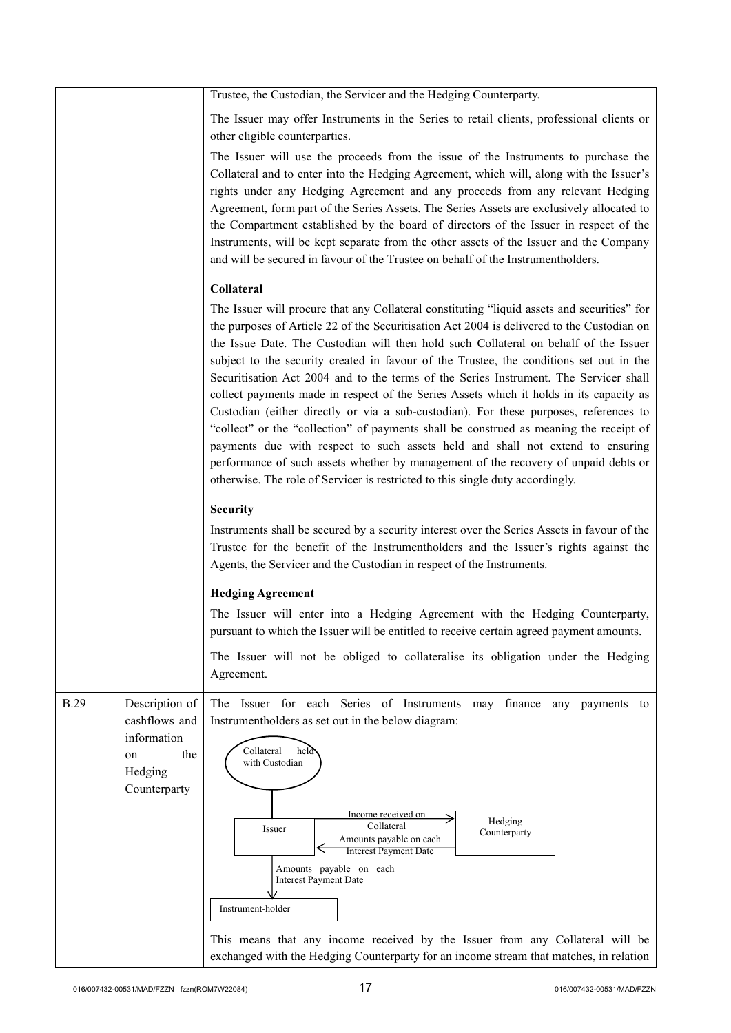|             |                                                                                        | Trustee, the Custodian, the Servicer and the Hedging Counterparty.                                                                                                                                                                                                                                                                                                                                                                                                                                                                                                                                                                                                                                                                                                                                                                                                                                                                                                                                             |
|-------------|----------------------------------------------------------------------------------------|----------------------------------------------------------------------------------------------------------------------------------------------------------------------------------------------------------------------------------------------------------------------------------------------------------------------------------------------------------------------------------------------------------------------------------------------------------------------------------------------------------------------------------------------------------------------------------------------------------------------------------------------------------------------------------------------------------------------------------------------------------------------------------------------------------------------------------------------------------------------------------------------------------------------------------------------------------------------------------------------------------------|
|             |                                                                                        | The Issuer may offer Instruments in the Series to retail clients, professional clients or<br>other eligible counterparties.                                                                                                                                                                                                                                                                                                                                                                                                                                                                                                                                                                                                                                                                                                                                                                                                                                                                                    |
|             |                                                                                        | The Issuer will use the proceeds from the issue of the Instruments to purchase the<br>Collateral and to enter into the Hedging Agreement, which will, along with the Issuer's<br>rights under any Hedging Agreement and any proceeds from any relevant Hedging<br>Agreement, form part of the Series Assets. The Series Assets are exclusively allocated to<br>the Compartment established by the board of directors of the Issuer in respect of the<br>Instruments, will be kept separate from the other assets of the Issuer and the Company<br>and will be secured in favour of the Trustee on behalf of the Instrumentholders.                                                                                                                                                                                                                                                                                                                                                                             |
|             |                                                                                        | Collateral                                                                                                                                                                                                                                                                                                                                                                                                                                                                                                                                                                                                                                                                                                                                                                                                                                                                                                                                                                                                     |
|             |                                                                                        | The Issuer will procure that any Collateral constituting "liquid assets and securities" for<br>the purposes of Article 22 of the Securitisation Act 2004 is delivered to the Custodian on<br>the Issue Date. The Custodian will then hold such Collateral on behalf of the Issuer<br>subject to the security created in favour of the Trustee, the conditions set out in the<br>Securitisation Act 2004 and to the terms of the Series Instrument. The Servicer shall<br>collect payments made in respect of the Series Assets which it holds in its capacity as<br>Custodian (either directly or via a sub-custodian). For these purposes, references to<br>"collect" or the "collection" of payments shall be construed as meaning the receipt of<br>payments due with respect to such assets held and shall not extend to ensuring<br>performance of such assets whether by management of the recovery of unpaid debts or<br>otherwise. The role of Servicer is restricted to this single duty accordingly. |
|             |                                                                                        | <b>Security</b>                                                                                                                                                                                                                                                                                                                                                                                                                                                                                                                                                                                                                                                                                                                                                                                                                                                                                                                                                                                                |
|             |                                                                                        | Instruments shall be secured by a security interest over the Series Assets in favour of the<br>Trustee for the benefit of the Instrumentholders and the Issuer's rights against the<br>Agents, the Servicer and the Custodian in respect of the Instruments.                                                                                                                                                                                                                                                                                                                                                                                                                                                                                                                                                                                                                                                                                                                                                   |
|             |                                                                                        | <b>Hedging Agreement</b>                                                                                                                                                                                                                                                                                                                                                                                                                                                                                                                                                                                                                                                                                                                                                                                                                                                                                                                                                                                       |
|             |                                                                                        | The Issuer will enter into a Hedging Agreement with the Hedging Counterparty,<br>pursuant to which the Issuer will be entitled to receive certain agreed payment amounts.                                                                                                                                                                                                                                                                                                                                                                                                                                                                                                                                                                                                                                                                                                                                                                                                                                      |
|             |                                                                                        | The Issuer will not be obliged to collateralise its obligation under the Hedging<br>Agreement.                                                                                                                                                                                                                                                                                                                                                                                                                                                                                                                                                                                                                                                                                                                                                                                                                                                                                                                 |
| <b>B.29</b> | Description of<br>cashflows and<br>information<br>the<br>on<br>Hedging<br>Counterparty | The Issuer for each Series of Instruments may finance<br>any payments to<br>Instrumentholders as set out in the below diagram:<br>Collateral<br>held<br>with Custodian<br>Income received on<br>Hedging<br>Collateral<br>Issuer<br>Counterparty<br>Amounts payable on each<br><b>Interest Payment Date</b><br>Amounts payable on each<br><b>Interest Payment Date</b><br>Instrument-holder                                                                                                                                                                                                                                                                                                                                                                                                                                                                                                                                                                                                                     |
|             |                                                                                        | This means that any income received by the Issuer from any Collateral will be<br>exchanged with the Hedging Counterparty for an income stream that matches, in relation                                                                                                                                                                                                                                                                                                                                                                                                                                                                                                                                                                                                                                                                                                                                                                                                                                        |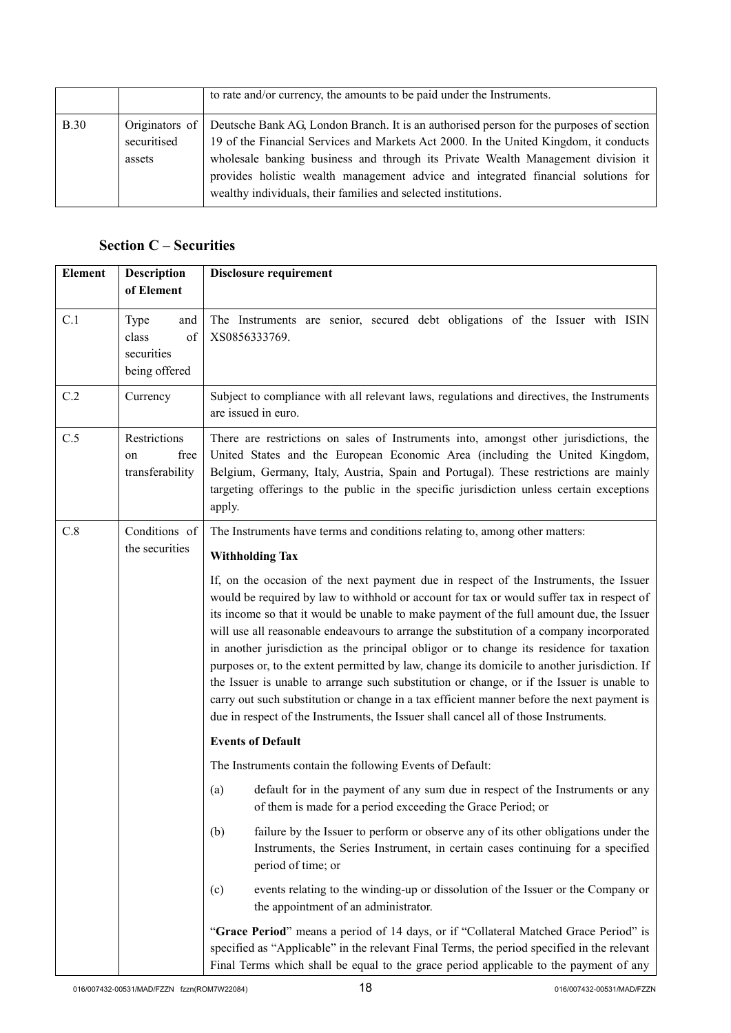|             |                       | to rate and/or currency, the amounts to be paid under the Instruments.                                                                                                                                                                                                                                                                                                                                                                     |
|-------------|-----------------------|--------------------------------------------------------------------------------------------------------------------------------------------------------------------------------------------------------------------------------------------------------------------------------------------------------------------------------------------------------------------------------------------------------------------------------------------|
| <b>B.30</b> | securitised<br>assets | Originators of Deutsche Bank AG, London Branch. It is an authorised person for the purposes of section<br>19 of the Financial Services and Markets Act 2000. In the United Kingdom, it conducts<br>wholesale banking business and through its Private Wealth Management division it<br>provides holistic wealth management advice and integrated financial solutions for<br>wealthy individuals, their families and selected institutions. |

# **Section C – Securities**

| <b>Element</b> | Description                                               | <b>Disclosure requirement</b>                                                                                                                                                                                                                                                                                                                                                                                                                                                                                                                                                                                                                                                                                                                                                                                                                              |
|----------------|-----------------------------------------------------------|------------------------------------------------------------------------------------------------------------------------------------------------------------------------------------------------------------------------------------------------------------------------------------------------------------------------------------------------------------------------------------------------------------------------------------------------------------------------------------------------------------------------------------------------------------------------------------------------------------------------------------------------------------------------------------------------------------------------------------------------------------------------------------------------------------------------------------------------------------|
|                | of Element                                                |                                                                                                                                                                                                                                                                                                                                                                                                                                                                                                                                                                                                                                                                                                                                                                                                                                                            |
| C.1            | Type<br>and<br>class<br>of<br>securities<br>being offered | The Instruments are senior, secured debt obligations of the Issuer with ISIN<br>XS0856333769.                                                                                                                                                                                                                                                                                                                                                                                                                                                                                                                                                                                                                                                                                                                                                              |
| C.2            | Currency                                                  | Subject to compliance with all relevant laws, regulations and directives, the Instruments<br>are issued in euro.                                                                                                                                                                                                                                                                                                                                                                                                                                                                                                                                                                                                                                                                                                                                           |
| C.5            | Restrictions<br>free<br>on<br>transferability             | There are restrictions on sales of Instruments into, amongst other jurisdictions, the<br>United States and the European Economic Area (including the United Kingdom,<br>Belgium, Germany, Italy, Austria, Spain and Portugal). These restrictions are mainly<br>targeting offerings to the public in the specific jurisdiction unless certain exceptions<br>apply.                                                                                                                                                                                                                                                                                                                                                                                                                                                                                         |
| C.8            | Conditions of<br>the securities                           | The Instruments have terms and conditions relating to, among other matters:                                                                                                                                                                                                                                                                                                                                                                                                                                                                                                                                                                                                                                                                                                                                                                                |
|                |                                                           | <b>Withholding Tax</b>                                                                                                                                                                                                                                                                                                                                                                                                                                                                                                                                                                                                                                                                                                                                                                                                                                     |
|                |                                                           | If, on the occasion of the next payment due in respect of the Instruments, the Issuer<br>would be required by law to withhold or account for tax or would suffer tax in respect of<br>its income so that it would be unable to make payment of the full amount due, the Issuer<br>will use all reasonable endeavours to arrange the substitution of a company incorporated<br>in another jurisdiction as the principal obligor or to change its residence for taxation<br>purposes or, to the extent permitted by law, change its domicile to another jurisdiction. If<br>the Issuer is unable to arrange such substitution or change, or if the Issuer is unable to<br>carry out such substitution or change in a tax efficient manner before the next payment is<br>due in respect of the Instruments, the Issuer shall cancel all of those Instruments. |
|                |                                                           | <b>Events of Default</b>                                                                                                                                                                                                                                                                                                                                                                                                                                                                                                                                                                                                                                                                                                                                                                                                                                   |
|                |                                                           | The Instruments contain the following Events of Default:                                                                                                                                                                                                                                                                                                                                                                                                                                                                                                                                                                                                                                                                                                                                                                                                   |
|                |                                                           | default for in the payment of any sum due in respect of the Instruments or any<br>(a)<br>of them is made for a period exceeding the Grace Period; or                                                                                                                                                                                                                                                                                                                                                                                                                                                                                                                                                                                                                                                                                                       |
|                |                                                           | (b)<br>failure by the Issuer to perform or observe any of its other obligations under the<br>Instruments, the Series Instrument, in certain cases continuing for a specified<br>period of time; or                                                                                                                                                                                                                                                                                                                                                                                                                                                                                                                                                                                                                                                         |
|                |                                                           | events relating to the winding-up or dissolution of the Issuer or the Company or<br>(c)<br>the appointment of an administrator.                                                                                                                                                                                                                                                                                                                                                                                                                                                                                                                                                                                                                                                                                                                            |
|                |                                                           | "Grace Period" means a period of 14 days, or if "Collateral Matched Grace Period" is<br>specified as "Applicable" in the relevant Final Terms, the period specified in the relevant<br>Final Terms which shall be equal to the grace period applicable to the payment of any                                                                                                                                                                                                                                                                                                                                                                                                                                                                                                                                                                               |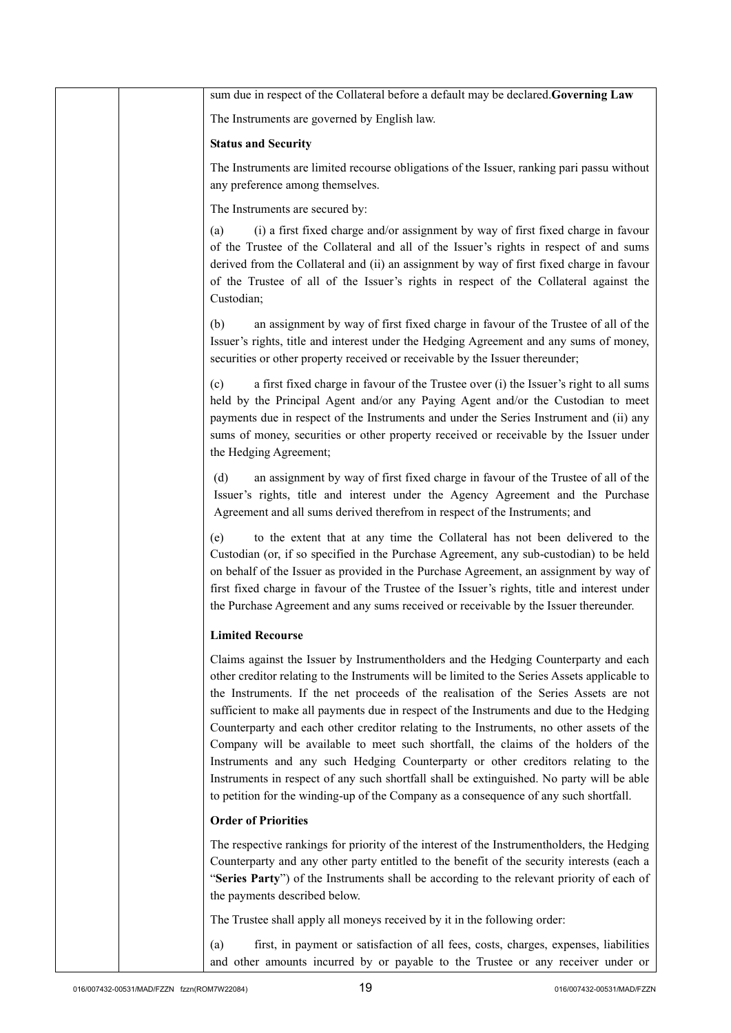| sum due in respect of the Collateral before a default may be declared. Governing Law                                                                                                                                                                                                                                                                                                                                                                                                                                                                                                                                                                                                                                                                                                                                                  |
|---------------------------------------------------------------------------------------------------------------------------------------------------------------------------------------------------------------------------------------------------------------------------------------------------------------------------------------------------------------------------------------------------------------------------------------------------------------------------------------------------------------------------------------------------------------------------------------------------------------------------------------------------------------------------------------------------------------------------------------------------------------------------------------------------------------------------------------|
| The Instruments are governed by English law.                                                                                                                                                                                                                                                                                                                                                                                                                                                                                                                                                                                                                                                                                                                                                                                          |
| <b>Status and Security</b>                                                                                                                                                                                                                                                                                                                                                                                                                                                                                                                                                                                                                                                                                                                                                                                                            |
| The Instruments are limited recourse obligations of the Issuer, ranking pari passu without<br>any preference among themselves.                                                                                                                                                                                                                                                                                                                                                                                                                                                                                                                                                                                                                                                                                                        |
| The Instruments are secured by:                                                                                                                                                                                                                                                                                                                                                                                                                                                                                                                                                                                                                                                                                                                                                                                                       |
| (i) a first fixed charge and/or assignment by way of first fixed charge in favour<br>(a)<br>of the Trustee of the Collateral and all of the Issuer's rights in respect of and sums<br>derived from the Collateral and (ii) an assignment by way of first fixed charge in favour<br>of the Trustee of all of the Issuer's rights in respect of the Collateral against the<br>Custodian;                                                                                                                                                                                                                                                                                                                                                                                                                                                |
| an assignment by way of first fixed charge in favour of the Trustee of all of the<br>(b)<br>Issuer's rights, title and interest under the Hedging Agreement and any sums of money,<br>securities or other property received or receivable by the Issuer thereunder;                                                                                                                                                                                                                                                                                                                                                                                                                                                                                                                                                                   |
| a first fixed charge in favour of the Trustee over (i) the Issuer's right to all sums<br>(c)<br>held by the Principal Agent and/or any Paying Agent and/or the Custodian to meet<br>payments due in respect of the Instruments and under the Series Instrument and (ii) any<br>sums of money, securities or other property received or receivable by the Issuer under<br>the Hedging Agreement;                                                                                                                                                                                                                                                                                                                                                                                                                                       |
| an assignment by way of first fixed charge in favour of the Trustee of all of the<br>(d)<br>Issuer's rights, title and interest under the Agency Agreement and the Purchase<br>Agreement and all sums derived therefrom in respect of the Instruments; and                                                                                                                                                                                                                                                                                                                                                                                                                                                                                                                                                                            |
| to the extent that at any time the Collateral has not been delivered to the<br>(e)<br>Custodian (or, if so specified in the Purchase Agreement, any sub-custodian) to be held<br>on behalf of the Issuer as provided in the Purchase Agreement, an assignment by way of<br>first fixed charge in favour of the Trustee of the Issuer's rights, title and interest under<br>the Purchase Agreement and any sums received or receivable by the Issuer thereunder.                                                                                                                                                                                                                                                                                                                                                                       |
| <b>Limited Recourse</b>                                                                                                                                                                                                                                                                                                                                                                                                                                                                                                                                                                                                                                                                                                                                                                                                               |
| Claims against the Issuer by Instrumentholders and the Hedging Counterparty and each<br>other creditor relating to the Instruments will be limited to the Series Assets applicable to<br>the Instruments. If the net proceeds of the realisation of the Series Assets are not<br>sufficient to make all payments due in respect of the Instruments and due to the Hedging<br>Counterparty and each other creditor relating to the Instruments, no other assets of the<br>Company will be available to meet such shortfall, the claims of the holders of the<br>Instruments and any such Hedging Counterparty or other creditors relating to the<br>Instruments in respect of any such shortfall shall be extinguished. No party will be able<br>to petition for the winding-up of the Company as a consequence of any such shortfall. |
| <b>Order of Priorities</b>                                                                                                                                                                                                                                                                                                                                                                                                                                                                                                                                                                                                                                                                                                                                                                                                            |
| The respective rankings for priority of the interest of the Instrumentholders, the Hedging<br>Counterparty and any other party entitled to the benefit of the security interests (each a<br>"Series Party") of the Instruments shall be according to the relevant priority of each of<br>the payments described below.                                                                                                                                                                                                                                                                                                                                                                                                                                                                                                                |
| The Trustee shall apply all moneys received by it in the following order:                                                                                                                                                                                                                                                                                                                                                                                                                                                                                                                                                                                                                                                                                                                                                             |
| first, in payment or satisfaction of all fees, costs, charges, expenses, liabilities<br>(a)<br>and other amounts incurred by or payable to the Trustee or any receiver under or                                                                                                                                                                                                                                                                                                                                                                                                                                                                                                                                                                                                                                                       |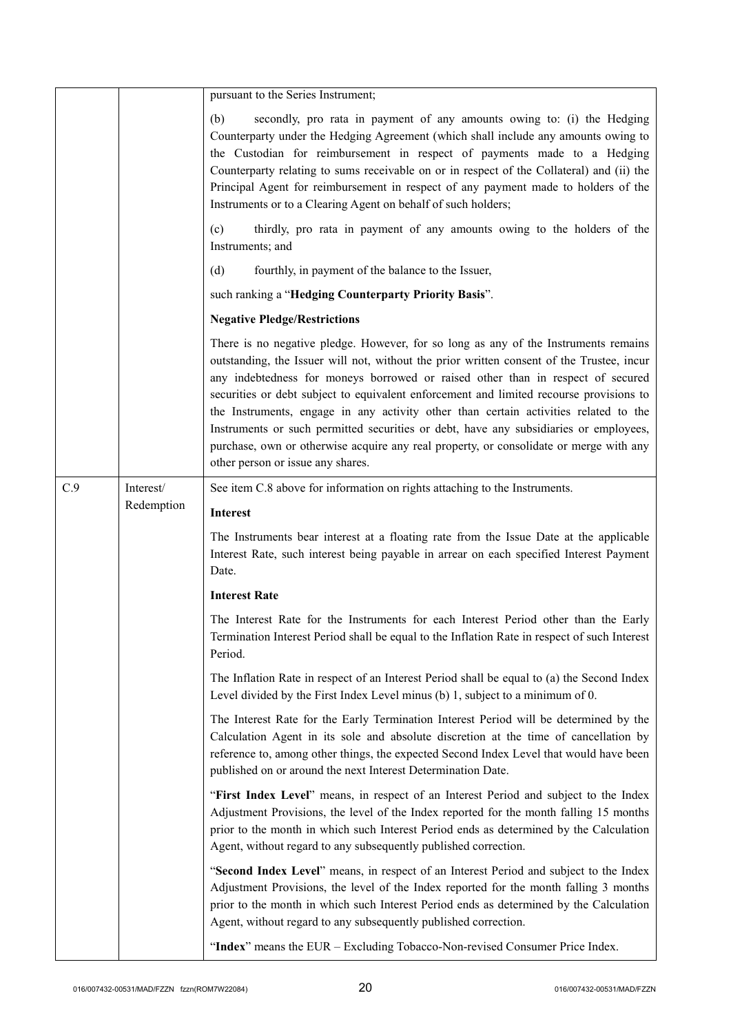|     |            | pursuant to the Series Instrument;                                                                                                                                                                                                                                                                                                                                                                                                                                                                                                                                                                                                                                             |
|-----|------------|--------------------------------------------------------------------------------------------------------------------------------------------------------------------------------------------------------------------------------------------------------------------------------------------------------------------------------------------------------------------------------------------------------------------------------------------------------------------------------------------------------------------------------------------------------------------------------------------------------------------------------------------------------------------------------|
|     |            | secondly, pro rata in payment of any amounts owing to: (i) the Hedging<br>(b)<br>Counterparty under the Hedging Agreement (which shall include any amounts owing to<br>the Custodian for reimbursement in respect of payments made to a Hedging<br>Counterparty relating to sums receivable on or in respect of the Collateral) and (ii) the<br>Principal Agent for reimbursement in respect of any payment made to holders of the<br>Instruments or to a Clearing Agent on behalf of such holders;                                                                                                                                                                            |
|     |            | thirdly, pro rata in payment of any amounts owing to the holders of the<br>(c)<br>Instruments; and                                                                                                                                                                                                                                                                                                                                                                                                                                                                                                                                                                             |
|     |            | (d)<br>fourthly, in payment of the balance to the Issuer,                                                                                                                                                                                                                                                                                                                                                                                                                                                                                                                                                                                                                      |
|     |            | such ranking a "Hedging Counterparty Priority Basis".                                                                                                                                                                                                                                                                                                                                                                                                                                                                                                                                                                                                                          |
|     |            | <b>Negative Pledge/Restrictions</b>                                                                                                                                                                                                                                                                                                                                                                                                                                                                                                                                                                                                                                            |
|     |            | There is no negative pledge. However, for so long as any of the Instruments remains<br>outstanding, the Issuer will not, without the prior written consent of the Trustee, incur<br>any indebtedness for moneys borrowed or raised other than in respect of secured<br>securities or debt subject to equivalent enforcement and limited recourse provisions to<br>the Instruments, engage in any activity other than certain activities related to the<br>Instruments or such permitted securities or debt, have any subsidiaries or employees,<br>purchase, own or otherwise acquire any real property, or consolidate or merge with any<br>other person or issue any shares. |
| C.9 | Interest/  | See item C.8 above for information on rights attaching to the Instruments.                                                                                                                                                                                                                                                                                                                                                                                                                                                                                                                                                                                                     |
|     | Redemption | <b>Interest</b>                                                                                                                                                                                                                                                                                                                                                                                                                                                                                                                                                                                                                                                                |
|     |            | The Instruments bear interest at a floating rate from the Issue Date at the applicable<br>Interest Rate, such interest being payable in arrear on each specified Interest Payment<br>Date.                                                                                                                                                                                                                                                                                                                                                                                                                                                                                     |
|     |            | <b>Interest Rate</b>                                                                                                                                                                                                                                                                                                                                                                                                                                                                                                                                                                                                                                                           |
|     |            | The Interest Rate for the Instruments for each Interest Period other than the Early<br>Termination Interest Period shall be equal to the Inflation Rate in respect of such Interest<br>Period.                                                                                                                                                                                                                                                                                                                                                                                                                                                                                 |
|     |            | The Inflation Rate in respect of an Interest Period shall be equal to (a) the Second Index<br>Level divided by the First Index Level minus (b) 1, subject to a minimum of 0.                                                                                                                                                                                                                                                                                                                                                                                                                                                                                                   |
|     |            | The Interest Rate for the Early Termination Interest Period will be determined by the<br>Calculation Agent in its sole and absolute discretion at the time of cancellation by<br>reference to, among other things, the expected Second Index Level that would have been<br>published on or around the next Interest Determination Date.                                                                                                                                                                                                                                                                                                                                        |
|     |            | "First Index Level" means, in respect of an Interest Period and subject to the Index<br>Adjustment Provisions, the level of the Index reported for the month falling 15 months<br>prior to the month in which such Interest Period ends as determined by the Calculation<br>Agent, without regard to any subsequently published correction.                                                                                                                                                                                                                                                                                                                                    |
|     |            | "Second Index Level" means, in respect of an Interest Period and subject to the Index<br>Adjustment Provisions, the level of the Index reported for the month falling 3 months<br>prior to the month in which such Interest Period ends as determined by the Calculation<br>Agent, without regard to any subsequently published correction.                                                                                                                                                                                                                                                                                                                                    |
|     |            | "Index" means the EUR – Excluding Tobacco-Non-revised Consumer Price Index.                                                                                                                                                                                                                                                                                                                                                                                                                                                                                                                                                                                                    |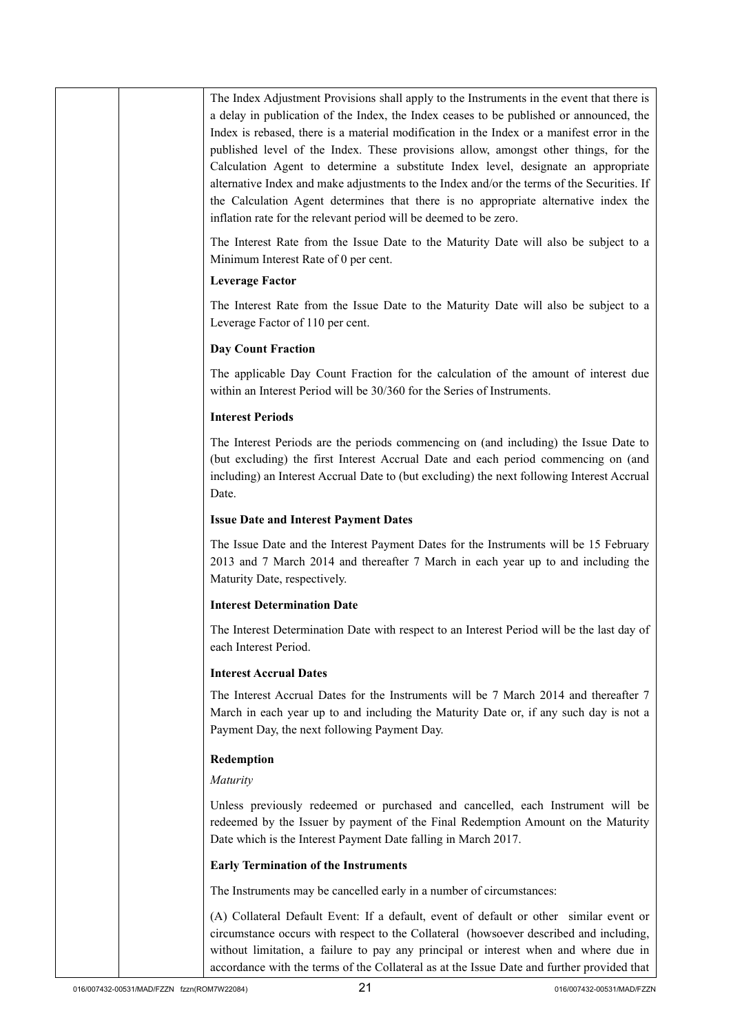|  | The Index Adjustment Provisions shall apply to the Instruments in the event that there is<br>a delay in publication of the Index, the Index ceases to be published or announced, the<br>Index is rebased, there is a material modification in the Index or a manifest error in the<br>published level of the Index. These provisions allow, amongst other things, for the<br>Calculation Agent to determine a substitute Index level, designate an appropriate<br>alternative Index and make adjustments to the Index and/or the terms of the Securities. If<br>the Calculation Agent determines that there is no appropriate alternative index the<br>inflation rate for the relevant period will be deemed to be zero. |
|--|--------------------------------------------------------------------------------------------------------------------------------------------------------------------------------------------------------------------------------------------------------------------------------------------------------------------------------------------------------------------------------------------------------------------------------------------------------------------------------------------------------------------------------------------------------------------------------------------------------------------------------------------------------------------------------------------------------------------------|
|  | The Interest Rate from the Issue Date to the Maturity Date will also be subject to a<br>Minimum Interest Rate of 0 per cent.                                                                                                                                                                                                                                                                                                                                                                                                                                                                                                                                                                                             |
|  | <b>Leverage Factor</b>                                                                                                                                                                                                                                                                                                                                                                                                                                                                                                                                                                                                                                                                                                   |
|  | The Interest Rate from the Issue Date to the Maturity Date will also be subject to a<br>Leverage Factor of 110 per cent.                                                                                                                                                                                                                                                                                                                                                                                                                                                                                                                                                                                                 |
|  | <b>Day Count Fraction</b>                                                                                                                                                                                                                                                                                                                                                                                                                                                                                                                                                                                                                                                                                                |
|  | The applicable Day Count Fraction for the calculation of the amount of interest due<br>within an Interest Period will be 30/360 for the Series of Instruments.                                                                                                                                                                                                                                                                                                                                                                                                                                                                                                                                                           |
|  | <b>Interest Periods</b>                                                                                                                                                                                                                                                                                                                                                                                                                                                                                                                                                                                                                                                                                                  |
|  | The Interest Periods are the periods commencing on (and including) the Issue Date to<br>(but excluding) the first Interest Accrual Date and each period commencing on (and<br>including) an Interest Accrual Date to (but excluding) the next following Interest Accrual<br>Date.                                                                                                                                                                                                                                                                                                                                                                                                                                        |
|  | <b>Issue Date and Interest Payment Dates</b>                                                                                                                                                                                                                                                                                                                                                                                                                                                                                                                                                                                                                                                                             |
|  | The Issue Date and the Interest Payment Dates for the Instruments will be 15 February<br>2013 and 7 March 2014 and thereafter 7 March in each year up to and including the<br>Maturity Date, respectively.                                                                                                                                                                                                                                                                                                                                                                                                                                                                                                               |
|  | <b>Interest Determination Date</b>                                                                                                                                                                                                                                                                                                                                                                                                                                                                                                                                                                                                                                                                                       |
|  | The Interest Determination Date with respect to an Interest Period will be the last day of<br>each Interest Period.                                                                                                                                                                                                                                                                                                                                                                                                                                                                                                                                                                                                      |
|  | <b>Interest Accrual Dates</b>                                                                                                                                                                                                                                                                                                                                                                                                                                                                                                                                                                                                                                                                                            |
|  | The Interest Accrual Dates for the Instruments will be 7 March 2014 and thereafter 7<br>March in each year up to and including the Maturity Date or, if any such day is not a<br>Payment Day, the next following Payment Day.                                                                                                                                                                                                                                                                                                                                                                                                                                                                                            |
|  | Redemption                                                                                                                                                                                                                                                                                                                                                                                                                                                                                                                                                                                                                                                                                                               |
|  | Maturity                                                                                                                                                                                                                                                                                                                                                                                                                                                                                                                                                                                                                                                                                                                 |
|  | Unless previously redeemed or purchased and cancelled, each Instrument will be<br>redeemed by the Issuer by payment of the Final Redemption Amount on the Maturity<br>Date which is the Interest Payment Date falling in March 2017.                                                                                                                                                                                                                                                                                                                                                                                                                                                                                     |
|  | <b>Early Termination of the Instruments</b>                                                                                                                                                                                                                                                                                                                                                                                                                                                                                                                                                                                                                                                                              |
|  | The Instruments may be cancelled early in a number of circumstances:                                                                                                                                                                                                                                                                                                                                                                                                                                                                                                                                                                                                                                                     |
|  | (A) Collateral Default Event: If a default, event of default or other similar event or<br>circumstance occurs with respect to the Collateral (howsoever described and including,<br>without limitation, a failure to pay any principal or interest when and where due in<br>accordance with the terms of the Collateral as at the Issue Date and further provided that                                                                                                                                                                                                                                                                                                                                                   |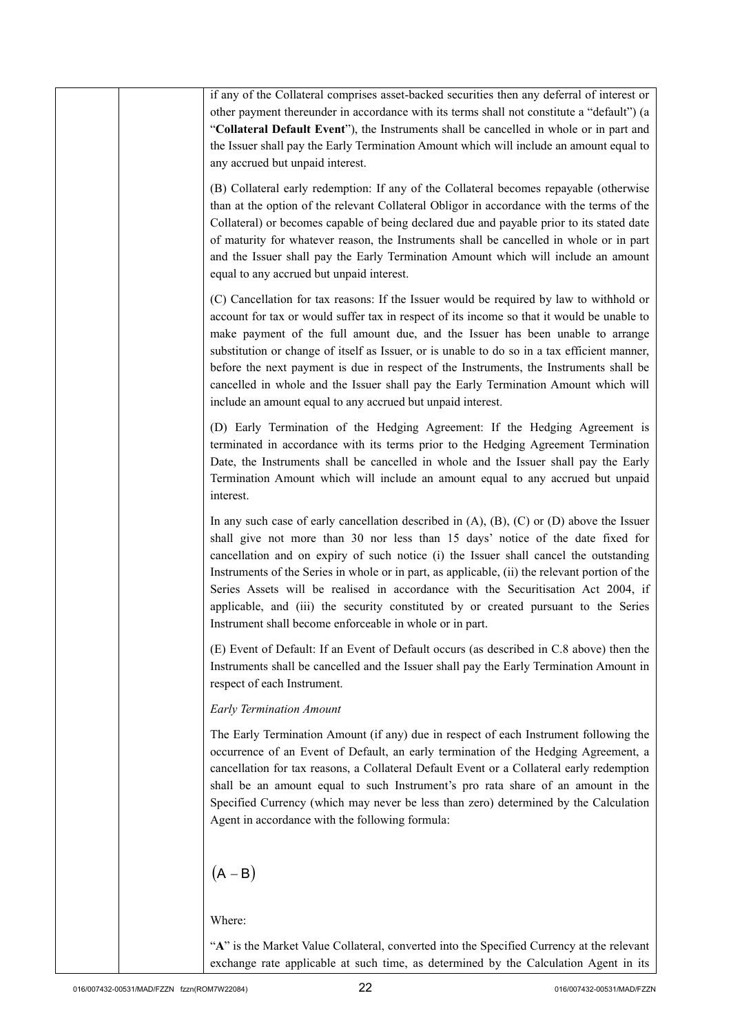| if any of the Collateral comprises asset-backed securities then any deferral of interest or<br>other payment thereunder in accordance with its terms shall not constitute a "default") (a<br>"Collateral Default Event"), the Instruments shall be cancelled in whole or in part and<br>the Issuer shall pay the Early Termination Amount which will include an amount equal to<br>any accrued but unpaid interest.                                                                                                                                                                                                       |
|---------------------------------------------------------------------------------------------------------------------------------------------------------------------------------------------------------------------------------------------------------------------------------------------------------------------------------------------------------------------------------------------------------------------------------------------------------------------------------------------------------------------------------------------------------------------------------------------------------------------------|
| (B) Collateral early redemption: If any of the Collateral becomes repayable (otherwise<br>than at the option of the relevant Collateral Obligor in accordance with the terms of the<br>Collateral) or becomes capable of being declared due and payable prior to its stated date<br>of maturity for whatever reason, the Instruments shall be cancelled in whole or in part<br>and the Issuer shall pay the Early Termination Amount which will include an amount<br>equal to any accrued but unpaid interest.                                                                                                            |
| (C) Cancellation for tax reasons: If the Issuer would be required by law to withhold or<br>account for tax or would suffer tax in respect of its income so that it would be unable to<br>make payment of the full amount due, and the Issuer has been unable to arrange<br>substitution or change of itself as Issuer, or is unable to do so in a tax efficient manner,<br>before the next payment is due in respect of the Instruments, the Instruments shall be<br>cancelled in whole and the Issuer shall pay the Early Termination Amount which will<br>include an amount equal to any accrued but unpaid interest.   |
| (D) Early Termination of the Hedging Agreement: If the Hedging Agreement is<br>terminated in accordance with its terms prior to the Hedging Agreement Termination<br>Date, the Instruments shall be cancelled in whole and the Issuer shall pay the Early<br>Termination Amount which will include an amount equal to any accrued but unpaid<br>interest.                                                                                                                                                                                                                                                                 |
| In any such case of early cancellation described in $(A)$ , $(B)$ , $(C)$ or $(D)$ above the Issuer<br>shall give not more than 30 nor less than 15 days' notice of the date fixed for<br>cancellation and on expiry of such notice (i) the Issuer shall cancel the outstanding<br>Instruments of the Series in whole or in part, as applicable, (ii) the relevant portion of the<br>Series Assets will be realised in accordance with the Securitisation Act 2004, if<br>applicable, and (iii) the security constituted by or created pursuant to the Series<br>Instrument shall become enforceable in whole or in part. |
| (E) Event of Default: If an Event of Default occurs (as described in C.8 above) then the<br>Instruments shall be cancelled and the Issuer shall pay the Early Termination Amount in<br>respect of each Instrument.                                                                                                                                                                                                                                                                                                                                                                                                        |
| <b>Early Termination Amount</b>                                                                                                                                                                                                                                                                                                                                                                                                                                                                                                                                                                                           |
| The Early Termination Amount (if any) due in respect of each Instrument following the<br>occurrence of an Event of Default, an early termination of the Hedging Agreement, a<br>cancellation for tax reasons, a Collateral Default Event or a Collateral early redemption<br>shall be an amount equal to such Instrument's pro rata share of an amount in the<br>Specified Currency (which may never be less than zero) determined by the Calculation<br>Agent in accordance with the following formula:                                                                                                                  |
| $(A - B)$                                                                                                                                                                                                                                                                                                                                                                                                                                                                                                                                                                                                                 |
| Where:                                                                                                                                                                                                                                                                                                                                                                                                                                                                                                                                                                                                                    |
| "A" is the Market Value Collateral, converted into the Specified Currency at the relevant<br>exchange rate applicable at such time, as determined by the Calculation Agent in its                                                                                                                                                                                                                                                                                                                                                                                                                                         |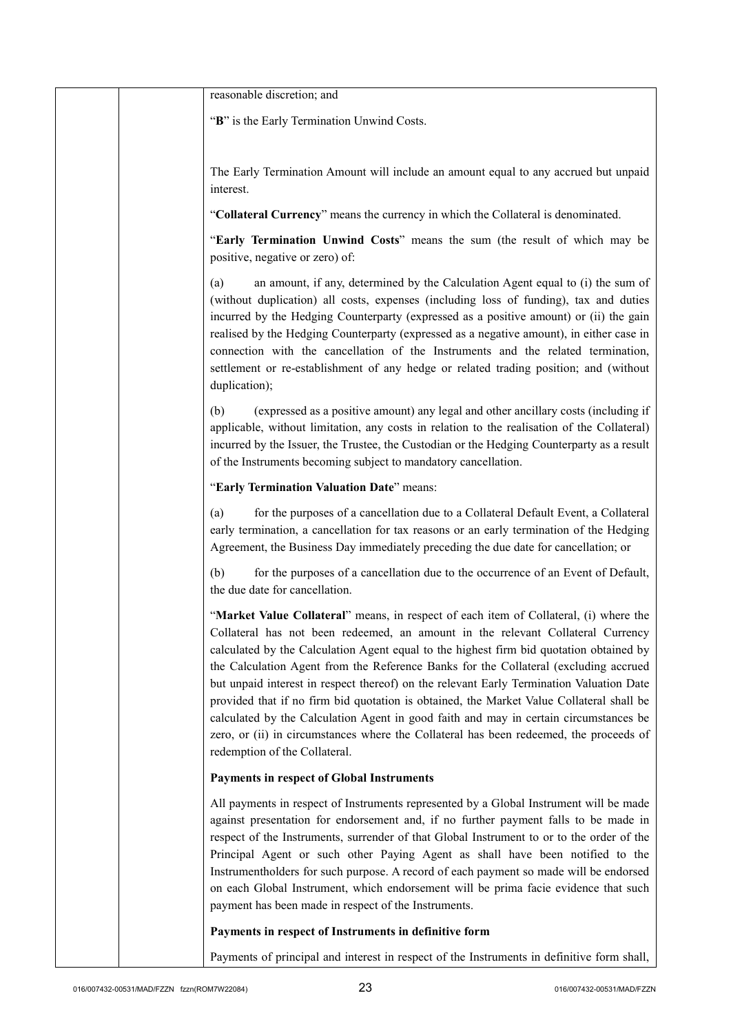| reasonable discretion; and                                                                                                                                                                                                                                                                                                                                                                                                                                                                                                                                                                                                                                                                                                                                              |
|-------------------------------------------------------------------------------------------------------------------------------------------------------------------------------------------------------------------------------------------------------------------------------------------------------------------------------------------------------------------------------------------------------------------------------------------------------------------------------------------------------------------------------------------------------------------------------------------------------------------------------------------------------------------------------------------------------------------------------------------------------------------------|
| "B" is the Early Termination Unwind Costs.                                                                                                                                                                                                                                                                                                                                                                                                                                                                                                                                                                                                                                                                                                                              |
|                                                                                                                                                                                                                                                                                                                                                                                                                                                                                                                                                                                                                                                                                                                                                                         |
| The Early Termination Amount will include an amount equal to any accrued but unpaid<br>interest.                                                                                                                                                                                                                                                                                                                                                                                                                                                                                                                                                                                                                                                                        |
| "Collateral Currency" means the currency in which the Collateral is denominated.                                                                                                                                                                                                                                                                                                                                                                                                                                                                                                                                                                                                                                                                                        |
| "Early Termination Unwind Costs" means the sum (the result of which may be<br>positive, negative or zero) of:                                                                                                                                                                                                                                                                                                                                                                                                                                                                                                                                                                                                                                                           |
| an amount, if any, determined by the Calculation Agent equal to (i) the sum of<br>(a)<br>(without duplication) all costs, expenses (including loss of funding), tax and duties<br>incurred by the Hedging Counterparty (expressed as a positive amount) or (ii) the gain<br>realised by the Hedging Counterparty (expressed as a negative amount), in either case in<br>connection with the cancellation of the Instruments and the related termination,<br>settlement or re-establishment of any hedge or related trading position; and (without<br>duplication);                                                                                                                                                                                                      |
| (expressed as a positive amount) any legal and other ancillary costs (including if<br>(b)<br>applicable, without limitation, any costs in relation to the realisation of the Collateral)<br>incurred by the Issuer, the Trustee, the Custodian or the Hedging Counterparty as a result<br>of the Instruments becoming subject to mandatory cancellation.                                                                                                                                                                                                                                                                                                                                                                                                                |
| "Early Termination Valuation Date" means:                                                                                                                                                                                                                                                                                                                                                                                                                                                                                                                                                                                                                                                                                                                               |
| for the purposes of a cancellation due to a Collateral Default Event, a Collateral<br>(a)<br>early termination, a cancellation for tax reasons or an early termination of the Hedging<br>Agreement, the Business Day immediately preceding the due date for cancellation; or                                                                                                                                                                                                                                                                                                                                                                                                                                                                                            |
| for the purposes of a cancellation due to the occurrence of an Event of Default,<br>(b)<br>the due date for cancellation.                                                                                                                                                                                                                                                                                                                                                                                                                                                                                                                                                                                                                                               |
| "Market Value Collateral" means, in respect of each item of Collateral, (i) where the<br>Collateral has not been redeemed, an amount in the relevant Collateral Currency<br>calculated by the Calculation Agent equal to the highest firm bid quotation obtained by<br>the Calculation Agent from the Reference Banks for the Collateral (excluding accrued<br>but unpaid interest in respect thereof) on the relevant Early Termination Valuation Date<br>provided that if no firm bid quotation is obtained, the Market Value Collateral shall be<br>calculated by the Calculation Agent in good faith and may in certain circumstances be<br>zero, or (ii) in circumstances where the Collateral has been redeemed, the proceeds of<br>redemption of the Collateral. |
| <b>Payments in respect of Global Instruments</b>                                                                                                                                                                                                                                                                                                                                                                                                                                                                                                                                                                                                                                                                                                                        |
| All payments in respect of Instruments represented by a Global Instrument will be made<br>against presentation for endorsement and, if no further payment falls to be made in<br>respect of the Instruments, surrender of that Global Instrument to or to the order of the<br>Principal Agent or such other Paying Agent as shall have been notified to the<br>Instrumentholders for such purpose. A record of each payment so made will be endorsed<br>on each Global Instrument, which endorsement will be prima facie evidence that such<br>payment has been made in respect of the Instruments.                                                                                                                                                                     |
| Payments in respect of Instruments in definitive form                                                                                                                                                                                                                                                                                                                                                                                                                                                                                                                                                                                                                                                                                                                   |
| Payments of principal and interest in respect of the Instruments in definitive form shall,                                                                                                                                                                                                                                                                                                                                                                                                                                                                                                                                                                                                                                                                              |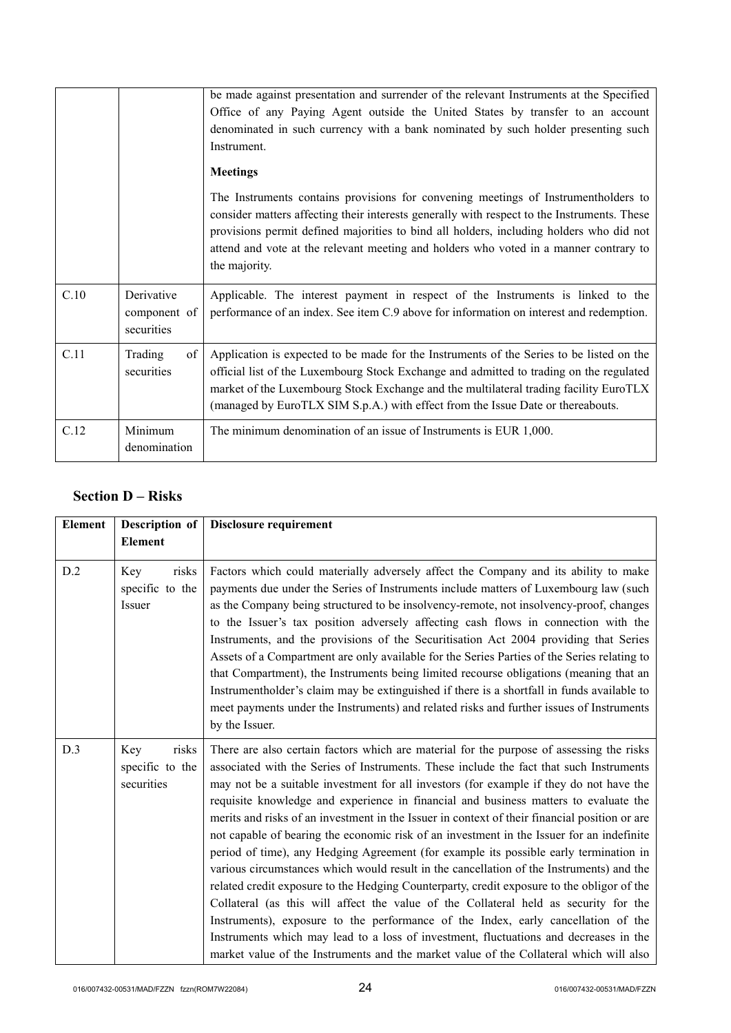|      |                                          | be made against presentation and surrender of the relevant Instruments at the Specified<br>Office of any Paying Agent outside the United States by transfer to an account<br>denominated in such currency with a bank nominated by such holder presenting such<br>Instrument.                                                                                                          |
|------|------------------------------------------|----------------------------------------------------------------------------------------------------------------------------------------------------------------------------------------------------------------------------------------------------------------------------------------------------------------------------------------------------------------------------------------|
|      |                                          | <b>Meetings</b>                                                                                                                                                                                                                                                                                                                                                                        |
|      |                                          | The Instruments contains provisions for convening meetings of Instrumentholders to<br>consider matters affecting their interests generally with respect to the Instruments. These<br>provisions permit defined majorities to bind all holders, including holders who did not<br>attend and vote at the relevant meeting and holders who voted in a manner contrary to<br>the majority. |
| C.10 | Derivative<br>component of<br>securities | Applicable. The interest payment in respect of the Instruments is linked to the<br>performance of an index. See item C.9 above for information on interest and redemption.                                                                                                                                                                                                             |
| C.11 | Trading<br>of<br>securities              | Application is expected to be made for the Instruments of the Series to be listed on the<br>official list of the Luxembourg Stock Exchange and admitted to trading on the regulated<br>market of the Luxembourg Stock Exchange and the multilateral trading facility EuroTLX<br>(managed by EuroTLX SIM S.p.A.) with effect from the Issue Date or thereabouts.                        |
| C.12 | Minimum<br>denomination                  | The minimum denomination of an issue of Instruments is EUR 1,000.                                                                                                                                                                                                                                                                                                                      |

# **Section D – Risks**

| <b>Element</b> | Description of                                | Disclosure requirement                                                                                                                                                                                                                                                                                                                                                                                                                                                                                                                                                                                                                                                                                                                                                                                                                                                                                                                                                                                                                                                                                                                                                                                                  |
|----------------|-----------------------------------------------|-------------------------------------------------------------------------------------------------------------------------------------------------------------------------------------------------------------------------------------------------------------------------------------------------------------------------------------------------------------------------------------------------------------------------------------------------------------------------------------------------------------------------------------------------------------------------------------------------------------------------------------------------------------------------------------------------------------------------------------------------------------------------------------------------------------------------------------------------------------------------------------------------------------------------------------------------------------------------------------------------------------------------------------------------------------------------------------------------------------------------------------------------------------------------------------------------------------------------|
|                | <b>Element</b>                                |                                                                                                                                                                                                                                                                                                                                                                                                                                                                                                                                                                                                                                                                                                                                                                                                                                                                                                                                                                                                                                                                                                                                                                                                                         |
| D.2            | risks<br>Key<br>specific to the<br>Issuer     | Factors which could materially adversely affect the Company and its ability to make<br>payments due under the Series of Instruments include matters of Luxembourg law (such<br>as the Company being structured to be insolvency-remote, not insolvency-proof, changes<br>to the Issuer's tax position adversely affecting cash flows in connection with the<br>Instruments, and the provisions of the Securitisation Act 2004 providing that Series<br>Assets of a Compartment are only available for the Series Parties of the Series relating to<br>that Compartment), the Instruments being limited recourse obligations (meaning that an<br>Instrumentholder's claim may be extinguished if there is a shortfall in funds available to<br>meet payments under the Instruments) and related risks and further issues of Instruments<br>by the Issuer.                                                                                                                                                                                                                                                                                                                                                                |
| D.3            | risks<br>Key<br>specific to the<br>securities | There are also certain factors which are material for the purpose of assessing the risks<br>associated with the Series of Instruments. These include the fact that such Instruments<br>may not be a suitable investment for all investors (for example if they do not have the<br>requisite knowledge and experience in financial and business matters to evaluate the<br>merits and risks of an investment in the Issuer in context of their financial position or are<br>not capable of bearing the economic risk of an investment in the Issuer for an indefinite<br>period of time), any Hedging Agreement (for example its possible early termination in<br>various circumstances which would result in the cancellation of the Instruments) and the<br>related credit exposure to the Hedging Counterparty, credit exposure to the obligor of the<br>Collateral (as this will affect the value of the Collateral held as security for the<br>Instruments), exposure to the performance of the Index, early cancellation of the<br>Instruments which may lead to a loss of investment, fluctuations and decreases in the<br>market value of the Instruments and the market value of the Collateral which will also |